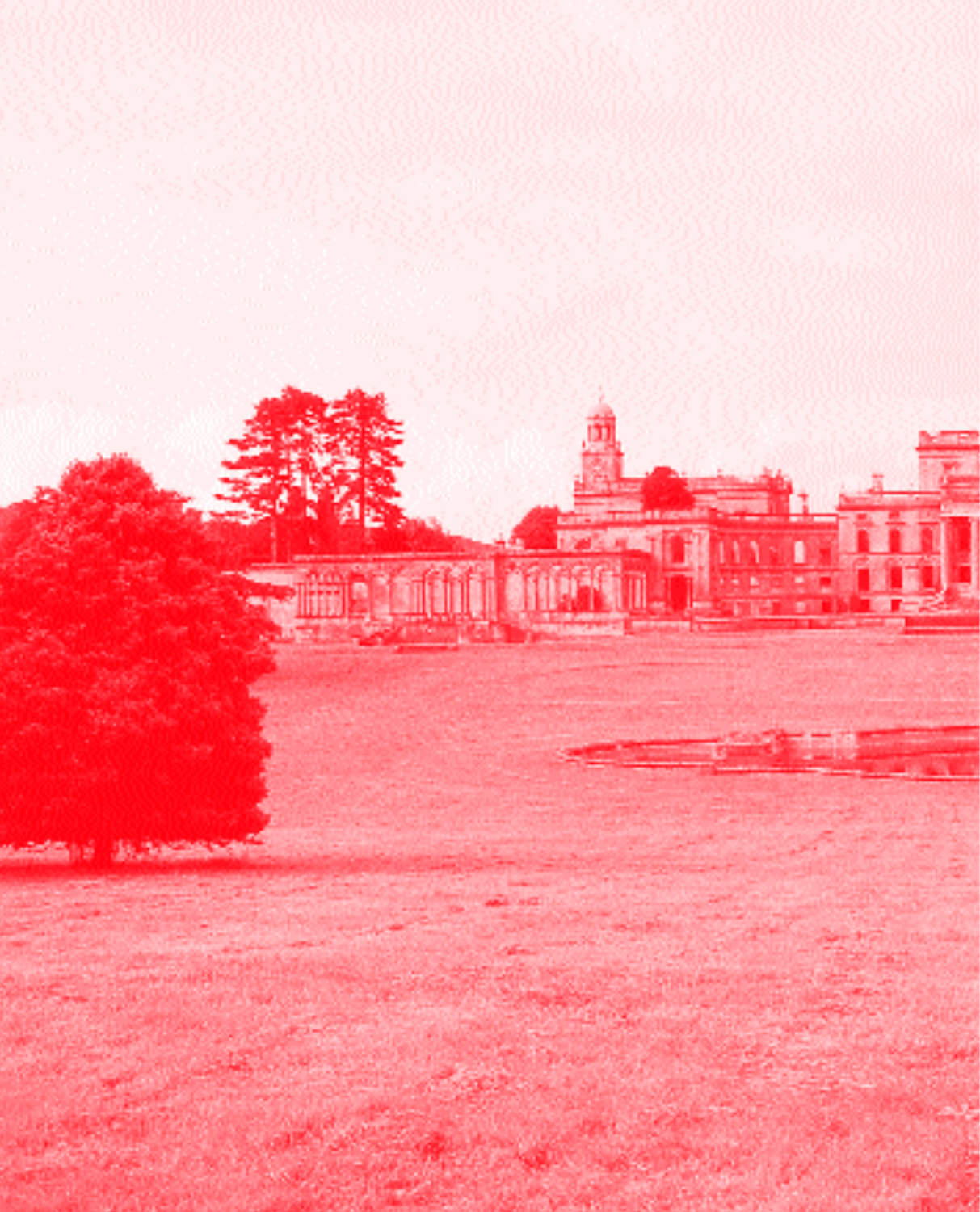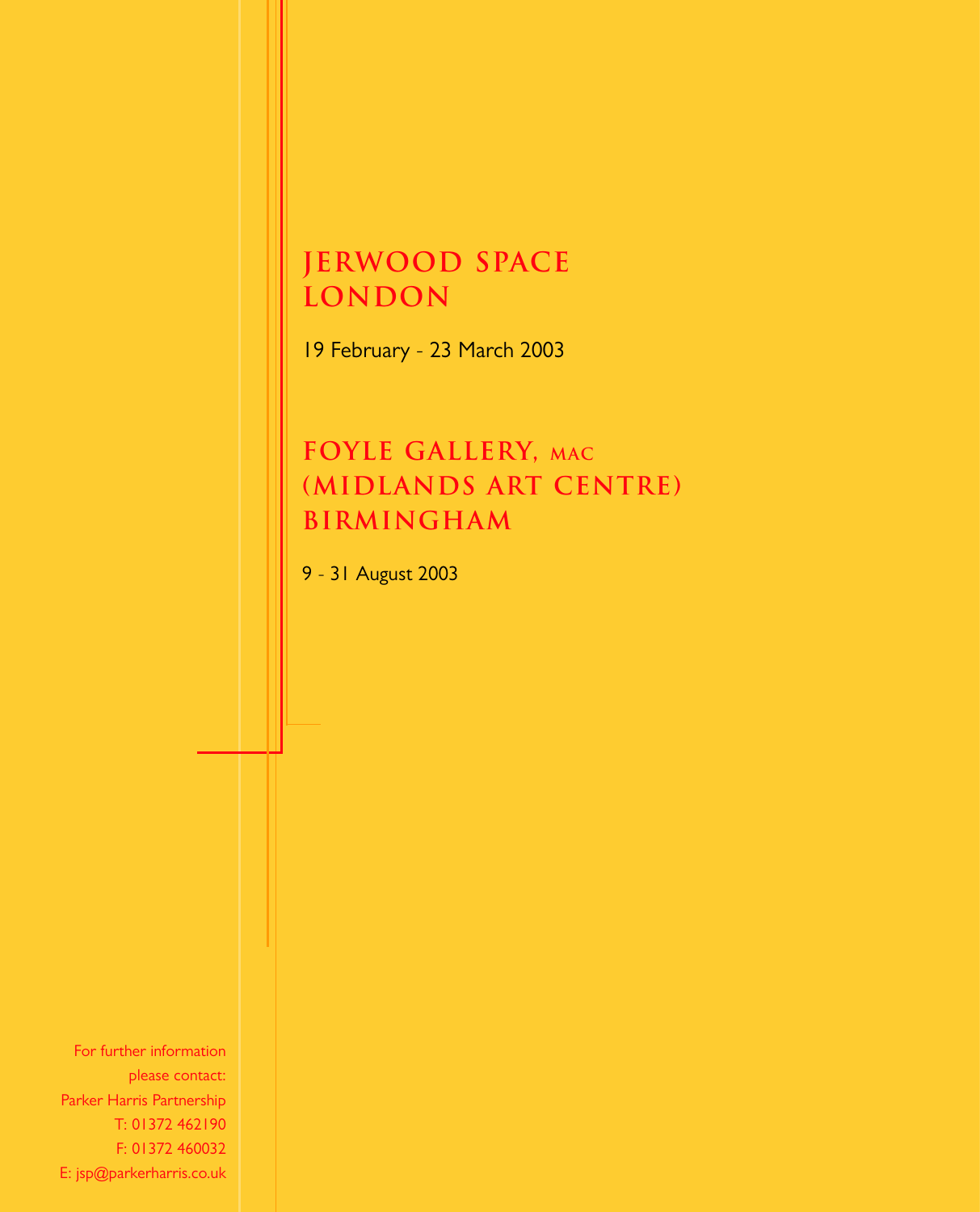### **Jerwood Space London**

19 February - 23 March 2003

### **Foyle Gallery, mac (Midlands Art Centre) Birmingham**

9 - 31 August 2003

For further information please contact: Parker Harris Partnership T: 01372 462190 F: 01372 460032 E: jsp@parkerharris.co.uk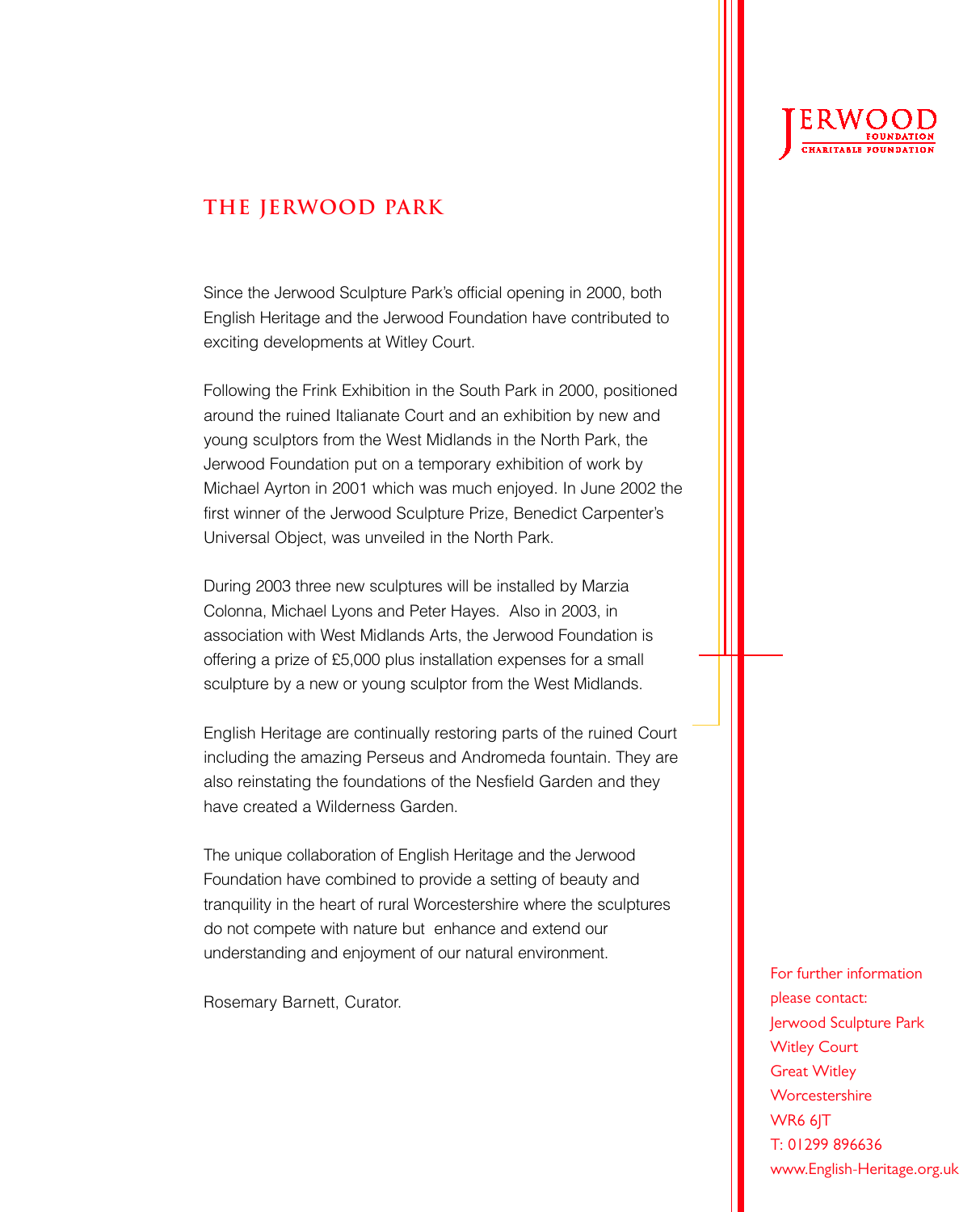# ERWO

### **The Jerwood park**

Since the Jerwood Sculpture Park's official opening in 2000, both English Heritage and the Jerwood Foundation have contributed to exciting developments at Witley Court.

Following the Frink Exhibition in the South Park in 2000, positioned around the ruined Italianate Court and an exhibition by new and young sculptors from the West Midlands in the North Park, the Jerwood Foundation put on a temporary exhibition of work by Michael Ayrton in 2001 which was much enjoyed. In June 2002 the first winner of the Jerwood Sculpture Prize, Benedict Carpenter's Universal Object, was unveiled in the North Park.

During 2003 three new sculptures will be installed by Marzia Colonna, Michael Lyons and Peter Hayes. Also in 2003, in association with West Midlands Arts, the Jerwood Foundation is offering a prize of £5,000 plus installation expenses for a small sculpture by a new or young sculptor from the West Midlands.

English Heritage are continually restoring parts of the ruined Court including the amazing Perseus and Andromeda fountain. They are also reinstating the foundations of the Nesfield Garden and they have created a Wilderness Garden.

The unique collaboration of English Heritage and the Jerwood Foundation have combined to provide a setting of beauty and tranquility in the heart of rural Worcestershire where the sculptures do not compete with nature but enhance and extend our understanding and enjoyment of our natural environment.

Rosemary Barnett, Curator.

For further information please contact: Jerwood Sculpture Park Witley Court Great Witley Worcestershire WR6 6IT T: 01299 896636 www.English-Heritage.org.uk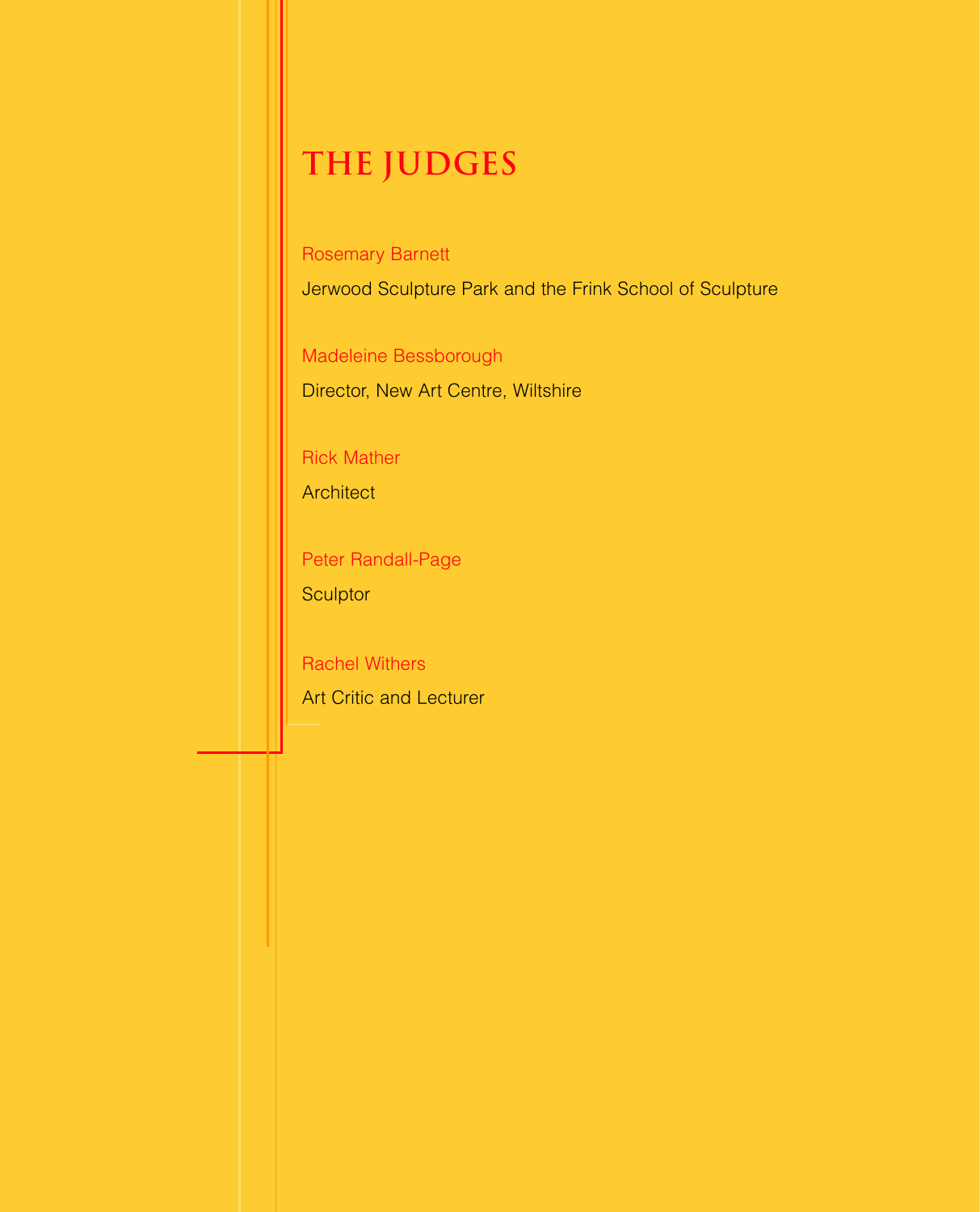## **The Judges**

### Rosemary Barnett

Jerwood Sculpture Park and the Frink School of Sculpture

Madeleine Bessborough

Director, New Art Centre, Wiltshire

Rick Mather

**Architect** 

Peter Randall-Page

**Sculptor** 

Rachel Withers

Art Critic and Lecturer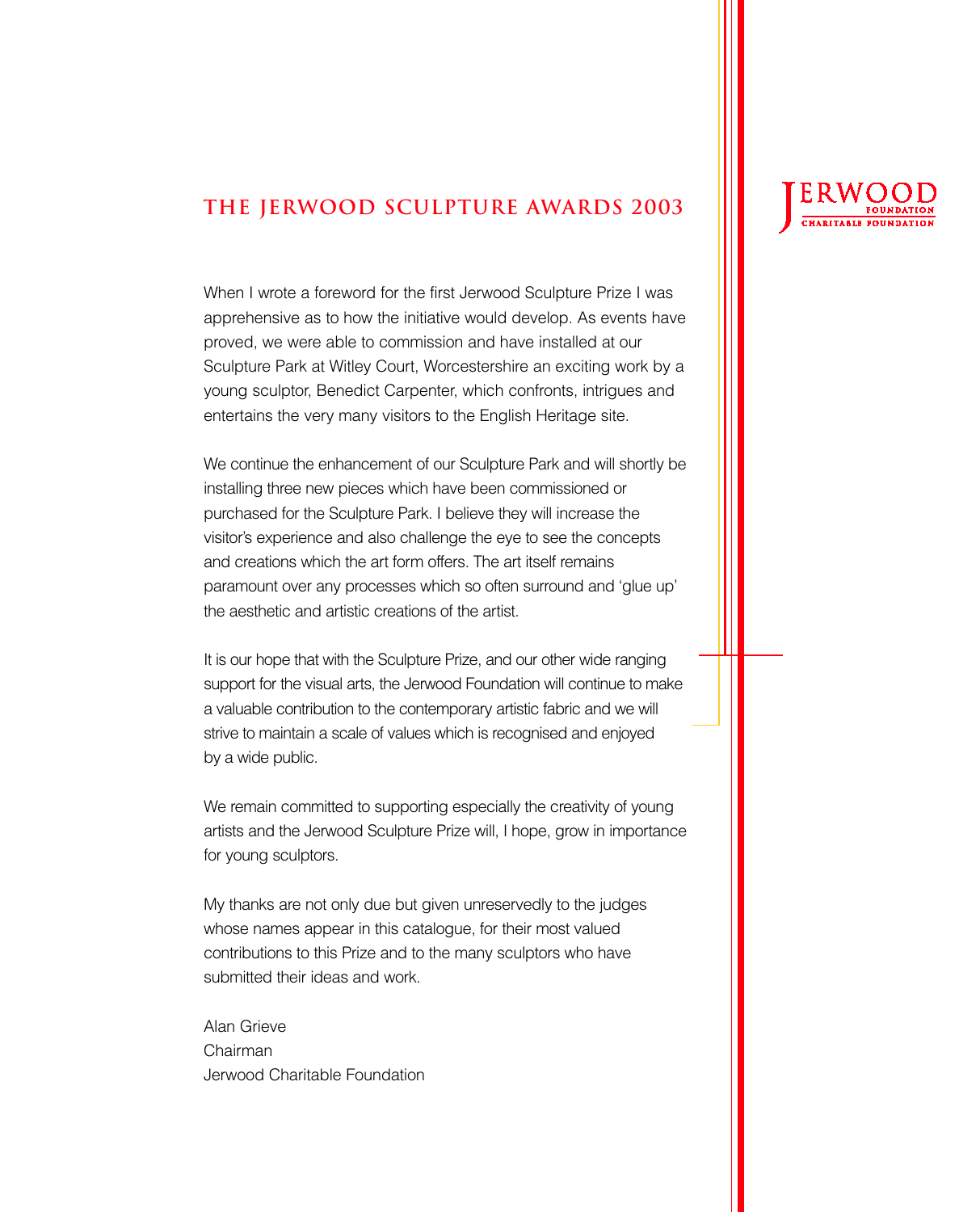### **The Jerwood Sculpture AWArds 2003**

When I wrote a foreword for the first Jerwood Sculpture Prize I was apprehensive as to how the initiative would develop. As events have proved, we were able to commission and have installed at our Sculpture Park at Witley Court, Worcestershire an exciting work by a young sculptor, Benedict Carpenter, which confronts, intrigues and entertains the very many visitors to the English Heritage site.

We continue the enhancement of our Sculpture Park and will shortly be installing three new pieces which have been commissioned or purchased for the Sculpture Park. I believe they will increase the visitor's experience and also challenge the eye to see the concepts and creations which the art form offers. The art itself remains paramount over any processes which so often surround and 'glue up' the aesthetic and artistic creations of the artist.

It is our hope that with the Sculpture Prize, and our other wide ranging support for the visual arts, the Jerwood Foundation will continue to make a valuable contribution to the contemporary artistic fabric and we will strive to maintain a scale of values which is recognised and enjoyed by a wide public.

We remain committed to supporting especially the creativity of young artists and the Jerwood Sculpture Prize will, I hope, grow in importance for young sculptors.

My thanks are not only due but given unreservedly to the judges whose names appear in this catalogue, for their most valued contributions to this Prize and to the many sculptors who have submitted their ideas and work.

Alan Grieve Chairman Jerwood Charitable Foundation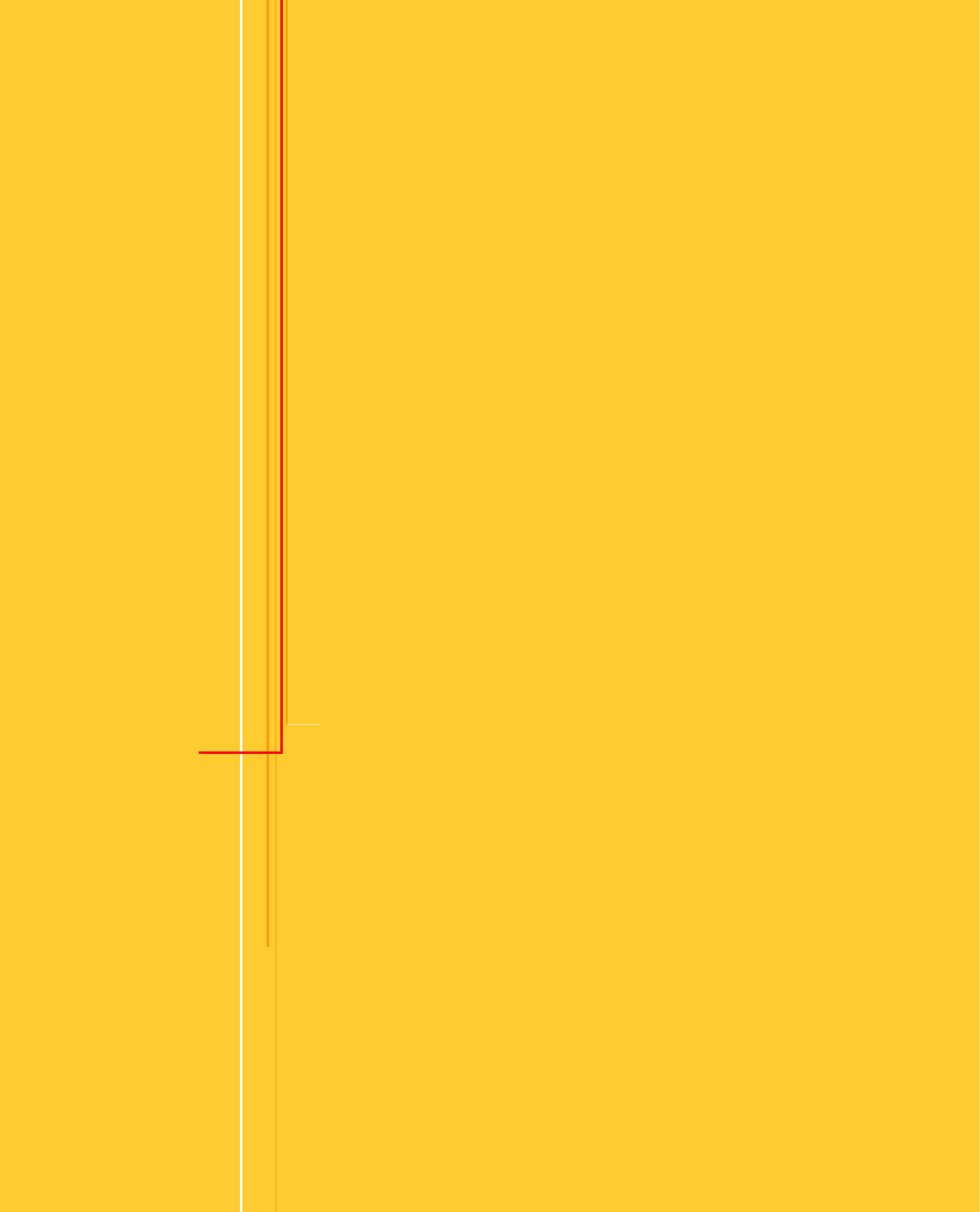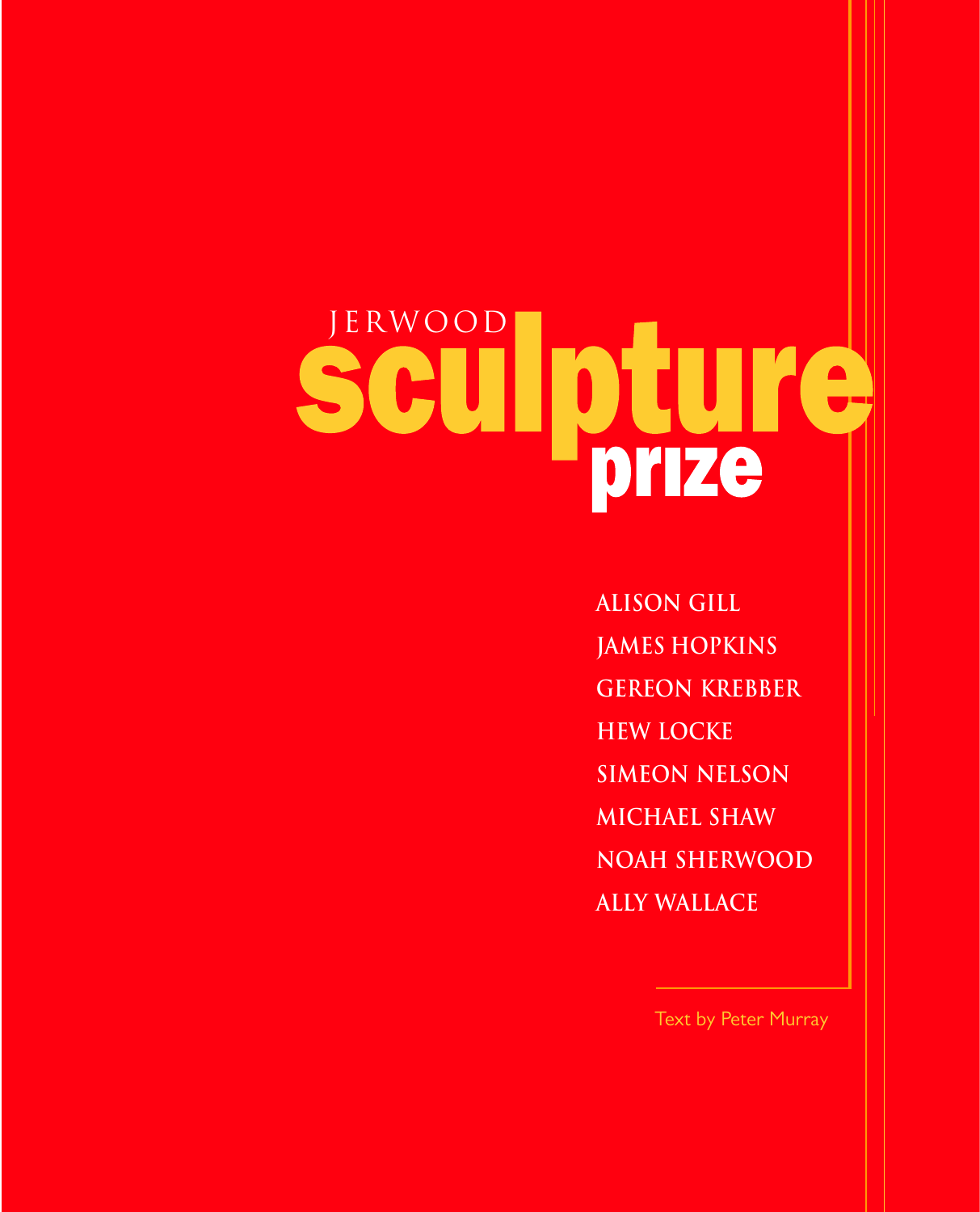# Sculpture

**ALISON GILL JAMES HOPKINS GEREON KREBBER HEW LOCKE SIMEON NELSON MICHAEL SHAW NOAH SHERWOOD ALLY WALLACE**

Text by Peter Murray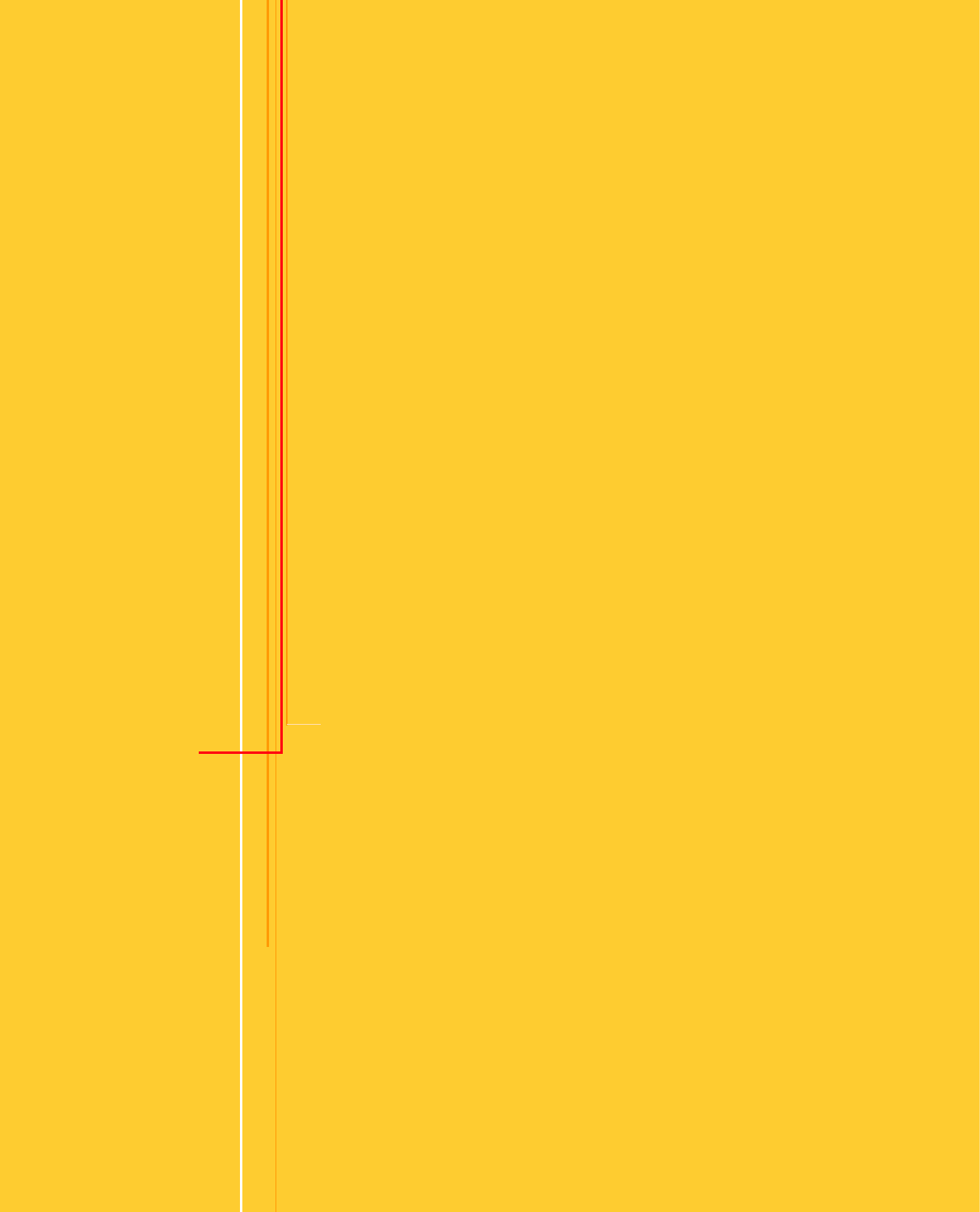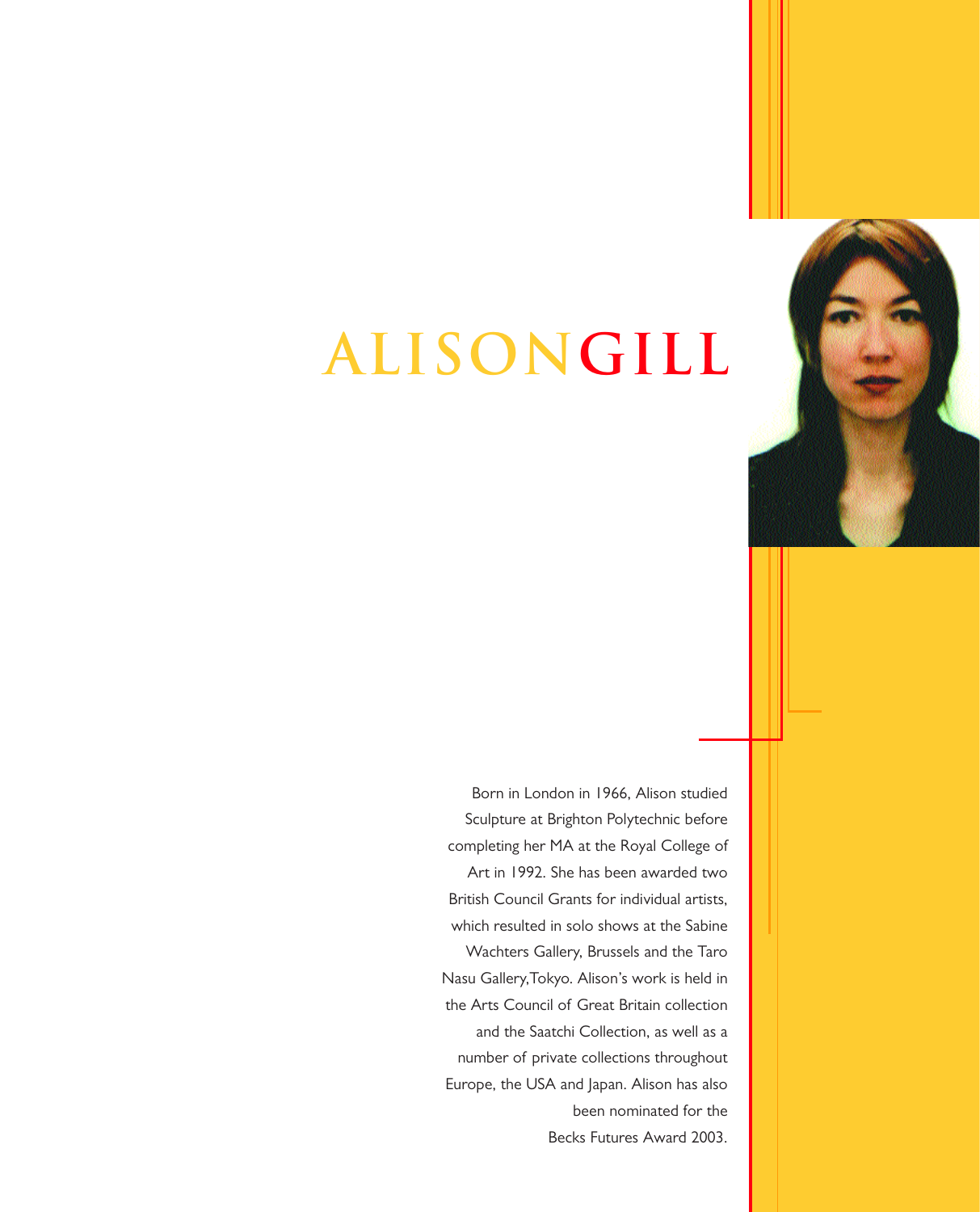# **AlisonGill**



Born in London in 1966, Alison studied Sculpture at Brighton Polytechnic before completing her MA at the Royal College of Art in 1992. She has been awarded two British Council Grants for individual artists, which resulted in solo shows at the Sabine Wachters Gallery, Brussels and the Taro Nasu Gallery,Tokyo. Alison's work is held in the Arts Council of Great Britain collection and the Saatchi Collection, as well as a number of private collections throughout Europe, the USA and Japan. Alison has also been nominated for the Becks Futures Award 2003.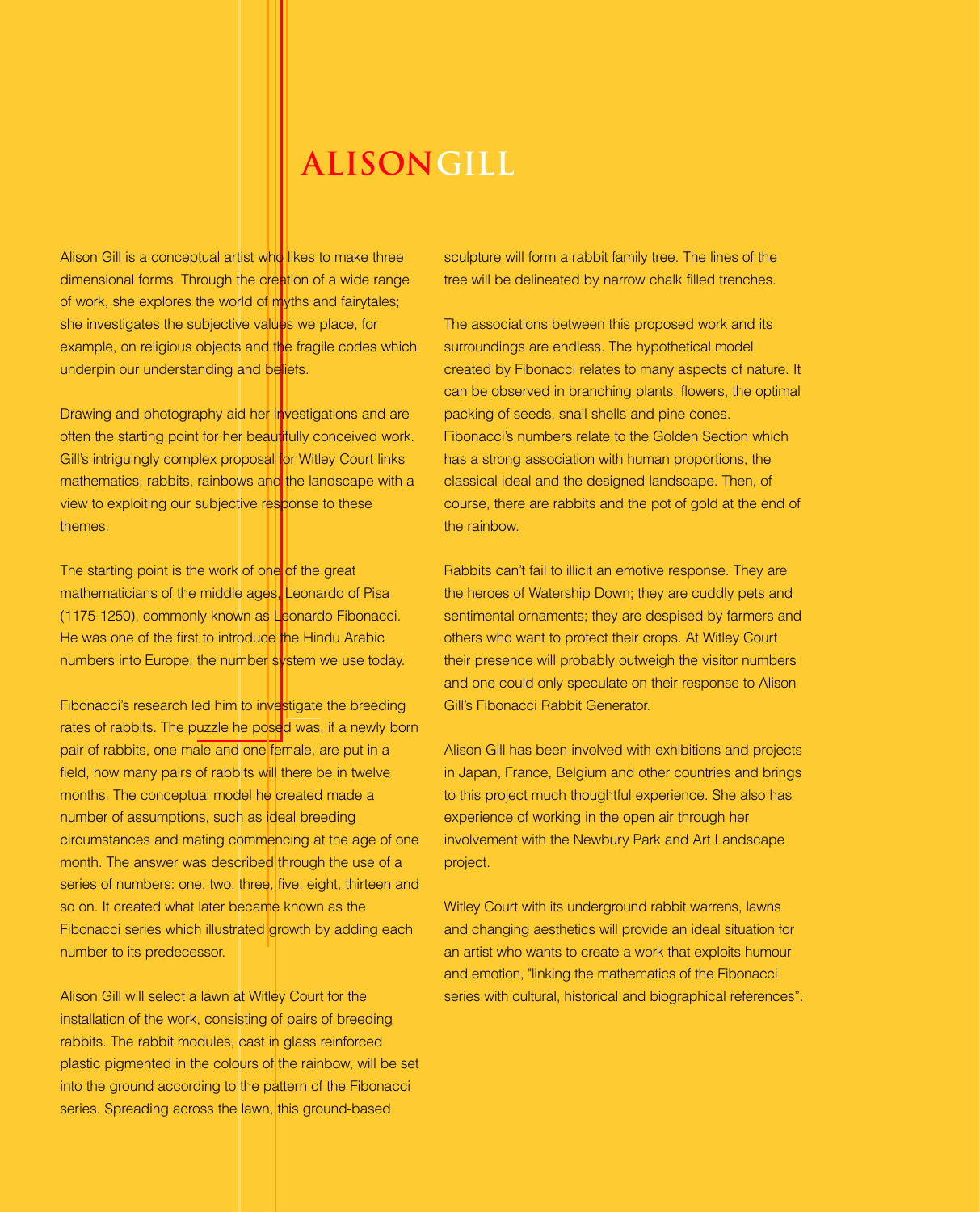### **AlisonGill**

Alison Gill is a conceptual artist who likes to make three dimensional forms. Through the creation of a wide range of work, she explores the world of myths and fairytales; she investigates the subjective values we place, for example, on religious objects and the fragile codes which underpin our understanding and beliefs.

Drawing and photography aid her investigations and are often the starting point for her beautifully conceived work. Gill's intriguingly complex proposal for Witley Court links mathematics, rabbits, rainbows and the landscape with a view to exploiting our subjective response to these themes.

The starting point is the work of one of the great mathematicians of the middle ages, Leonardo of Pisa (1175-1250), commonly known as Leonardo Fibonacci. He was one of the first to introduce the Hindu Arabic numbers into Europe, the number system we use today.

Fibonacci's research led him to investigate the breeding rates of rabbits. The puzzle he posed was, if a newly born pair of rabbits, one male and one female, are put in a field, how many pairs of rabbits will there be in twelve months. The conceptual model he created made a number of assumptions, such as ideal breeding circumstances and mating commencing at the age of one month. The answer was described through the use of a series of numbers: one, two, three, five, eight, thirteen and so on. It created what later became known as the Fibonacci series which illustrated growth by adding each number to its predecessor.

Alison Gill will select a lawn at Witley Court for the installation of the work, consisting of pairs of breeding rabbits. The rabbit modules, cast in glass reinforced plastic pigmented in the colours of the rainbow, will be set into the ground according to the pattern of the Fibonacci series. Spreading across the lawn, this ground-based

sculpture will form a rabbit family tree. The lines of the tree will be delineated by narrow chalk filled trenches.

The associations between this proposed work and its surroundings are endless. The hypothetical model created by Fibonacci relates to many aspects of nature. It can be observed in branching plants, flowers, the optimal packing of seeds, snail shells and pine cones. Fibonacci's numbers relate to the Golden Section which has a strong association with human proportions, the classical ideal and the designed landscape. Then, of course, there are rabbits and the pot of gold at the end of the rainbow.

Rabbits can't fail to illicit an emotive response. They are the heroes of Watership Down; they are cuddly pets and sentimental ornaments; they are despised by farmers and others who want to protect their crops. At Witley Court their presence will probably outweigh the visitor numbers and one could only speculate on their response to Alison Gill's Fibonacci Rabbit Generator.

Alison Gill has been involved with exhibitions and projects in Japan, France, Belgium and other countries and brings to this project much thoughtful experience. She also has experience of working in the open air through her involvement with the Newbury Park and Art Landscape project.

Witley Court with its underground rabbit warrens, lawns and changing aesthetics will provide an ideal situation for an artist who wants to create a work that exploits humour and emotion, "linking the mathematics of the Fibonacci series with cultural, historical and biographical references".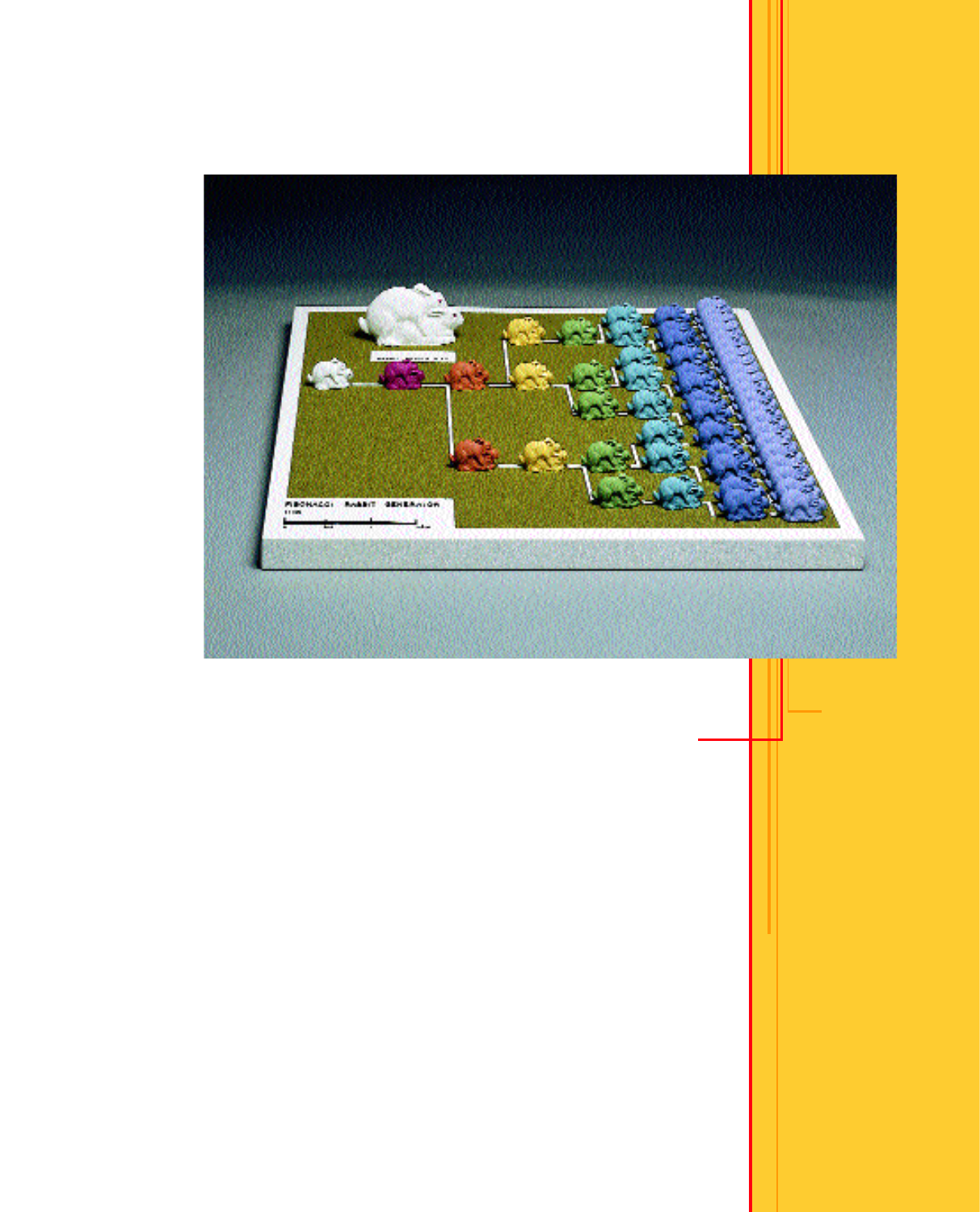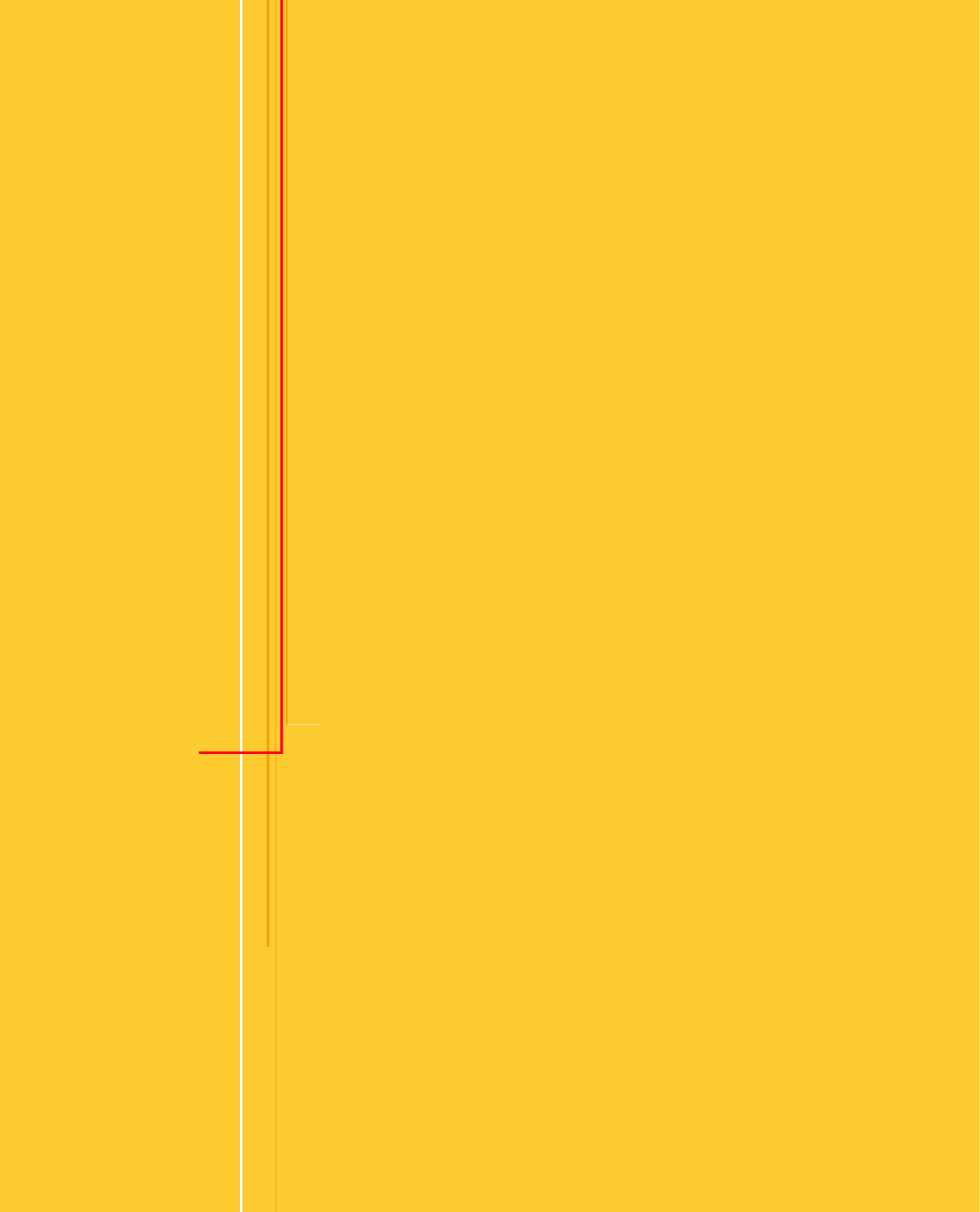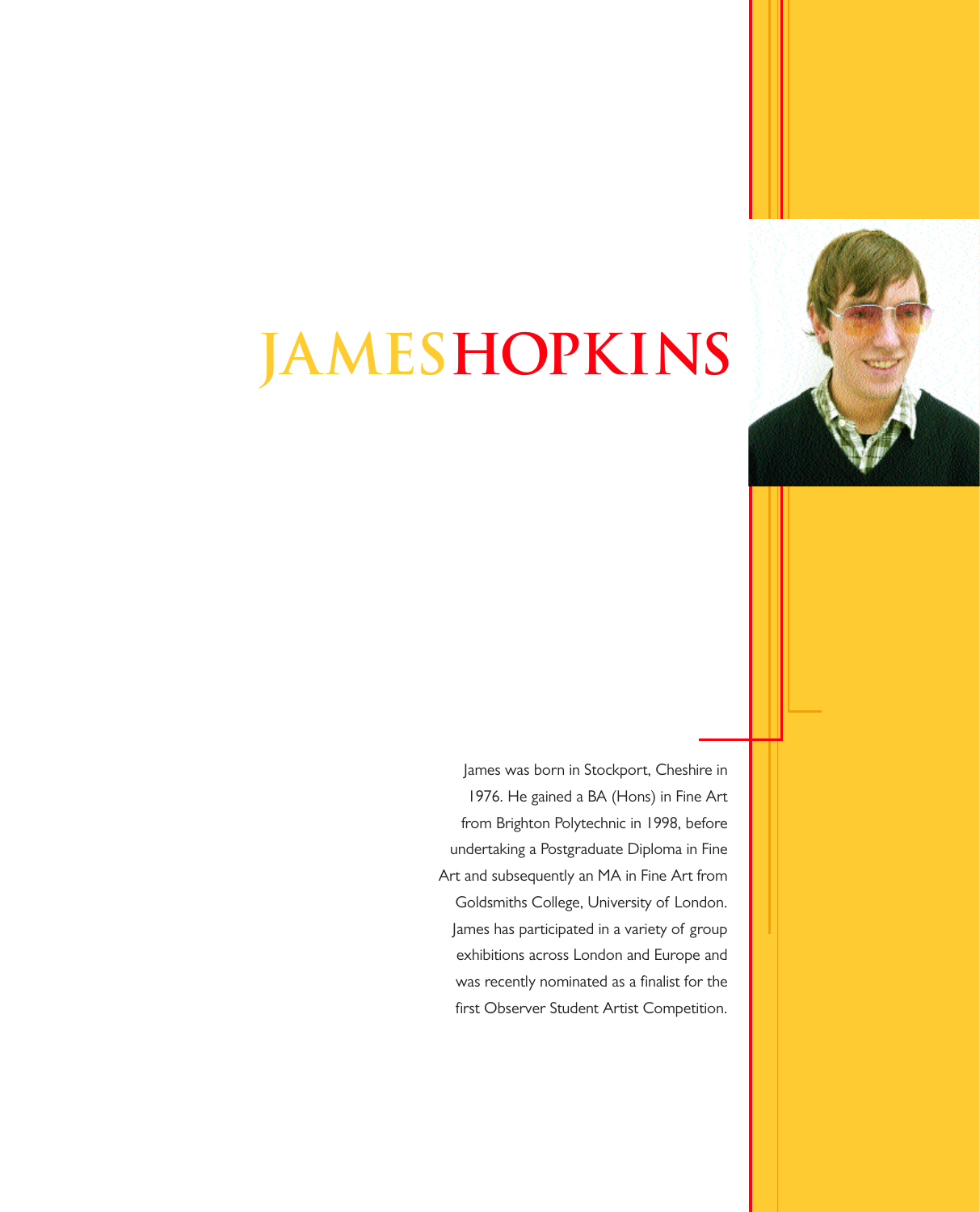# **jamesHopkins**



James was born in Stockport, Cheshire in 1976. He gained a BA (Hons) in Fine Art from Brighton Polytechnic in 1998, before undertaking a Postgraduate Diploma in Fine Art and subsequently an MA in Fine Art from Goldsmiths College, University of London. James has participated in a variety of group exhibitions across London and Europe and was recently nominated as a finalist for the first Observer Student Artist Competition.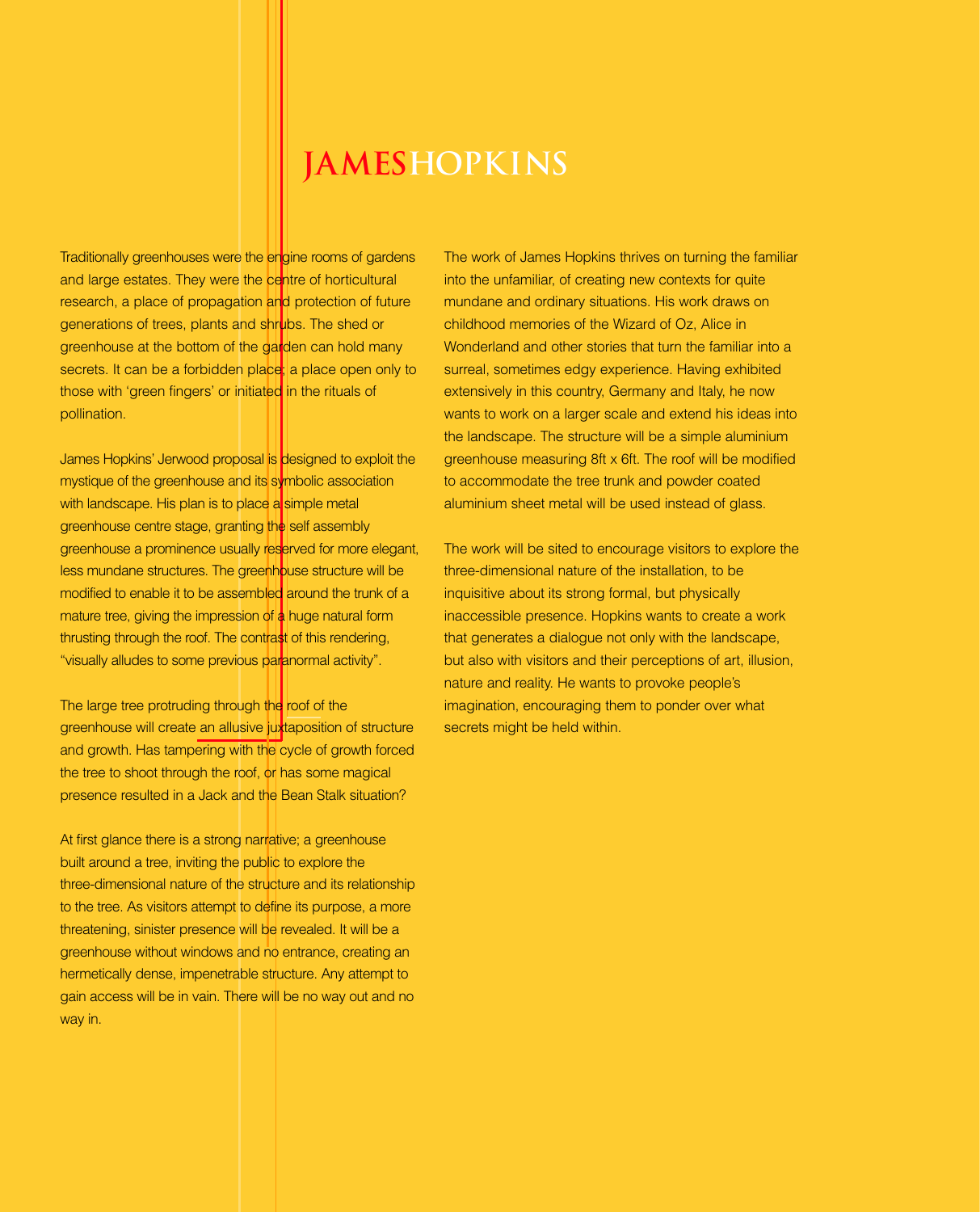### **jameshopkins**

Traditionally greenhouses were the engine rooms of gardens and large estates. They were the centre of horticultural research, a place of propagation and protection of future generations of trees, plants and shrubs. The shed or greenhouse at the bottom of the garden can hold many secrets. It can be a forbidden place; a place open only to those with 'green fingers' or initiated in the rituals of pollination.

James Hopkins' Jerwood proposal is designed to exploit the mystique of the greenhouse and its symbolic association with landscape. His plan is to place a simple metal greenhouse centre stage, granting the self assembly greenhouse a prominence usually reserved for more elegant, less mundane structures. The greenhouse structure will be modified to enable it to be assembled around the trunk of a mature tree, giving the impression of a huge natural form thrusting through the roof. The contrast of this rendering, "visually alludes to some previous paranormal activity".

The large tree protruding through the roof of the greenhouse will create an allusive juxtaposition of structure and growth. Has tampering with the cycle of growth forced the tree to shoot through the roof, or has some magical presence resulted in a Jack and the Bean Stalk situation?

At first glance there is a strong narrative; a greenhouse built around a tree, inviting the public to explore the three-dimensional nature of the structure and its relationship to the tree. As visitors attempt to define its purpose, a more threatening, sinister presence will be revealed. It will be a greenhouse without windows and no entrance, creating an hermetically dense, impenetrable structure. Any attempt to gain access will be in vain. There will be no way out and no way in.

The work of James Hopkins thrives on turning the familiar into the unfamiliar, of creating new contexts for quite mundane and ordinary situations. His work draws on childhood memories of the Wizard of Oz, Alice in Wonderland and other stories that turn the familiar into a surreal, sometimes edgy experience. Having exhibited extensively in this country, Germany and Italy, he now wants to work on a larger scale and extend his ideas into the landscape. The structure will be a simple aluminium greenhouse measuring 8ft x 6ft. The roof will be modified to accommodate the tree trunk and powder coated aluminium sheet metal will be used instead of glass.

The work will be sited to encourage visitors to explore the three-dimensional nature of the installation, to be inquisitive about its strong formal, but physically inaccessible presence. Hopkins wants to create a work that generates a dialogue not only with the landscape, but also with visitors and their perceptions of art, illusion, nature and reality. He wants to provoke people's imagination, encouraging them to ponder over what secrets might be held within.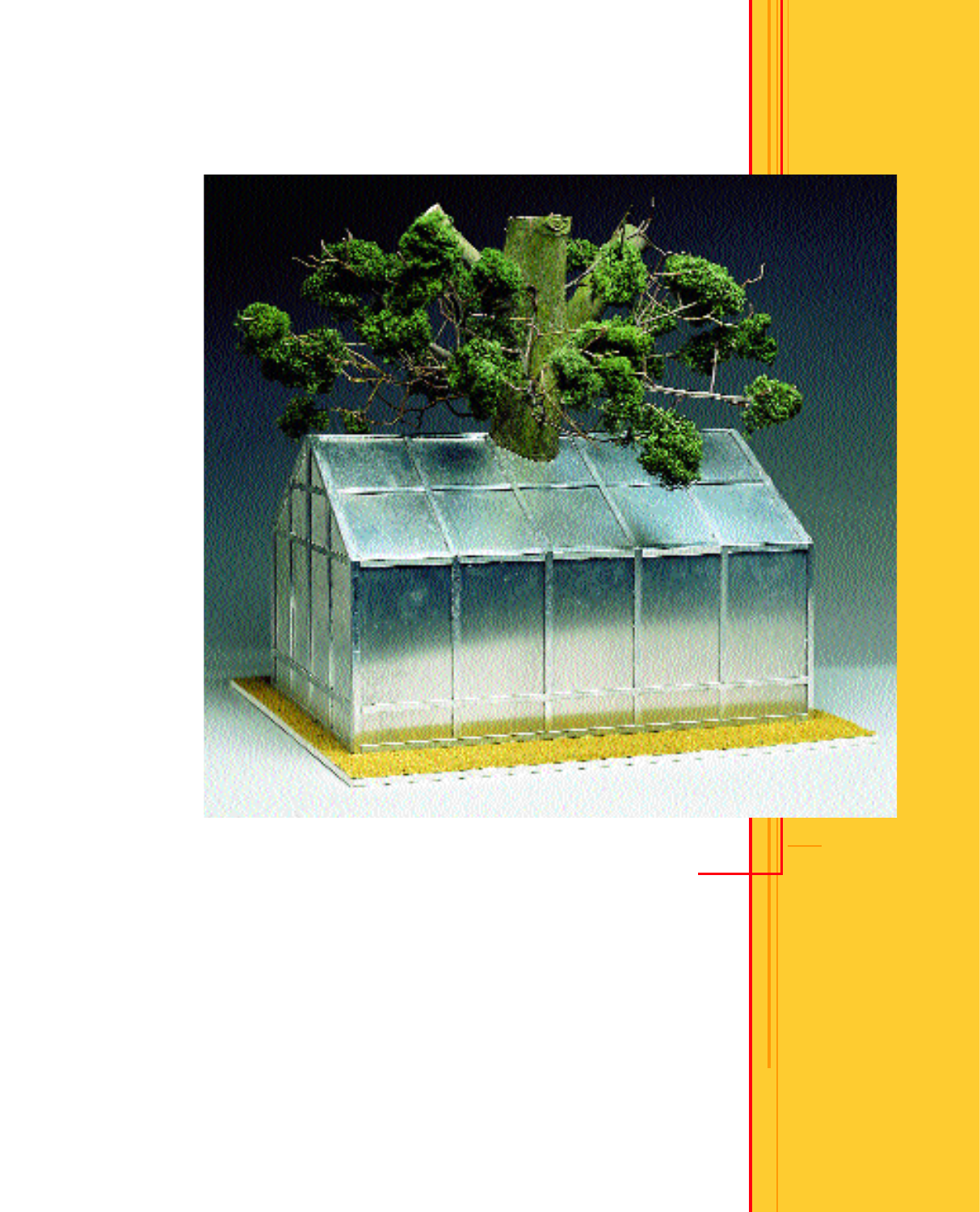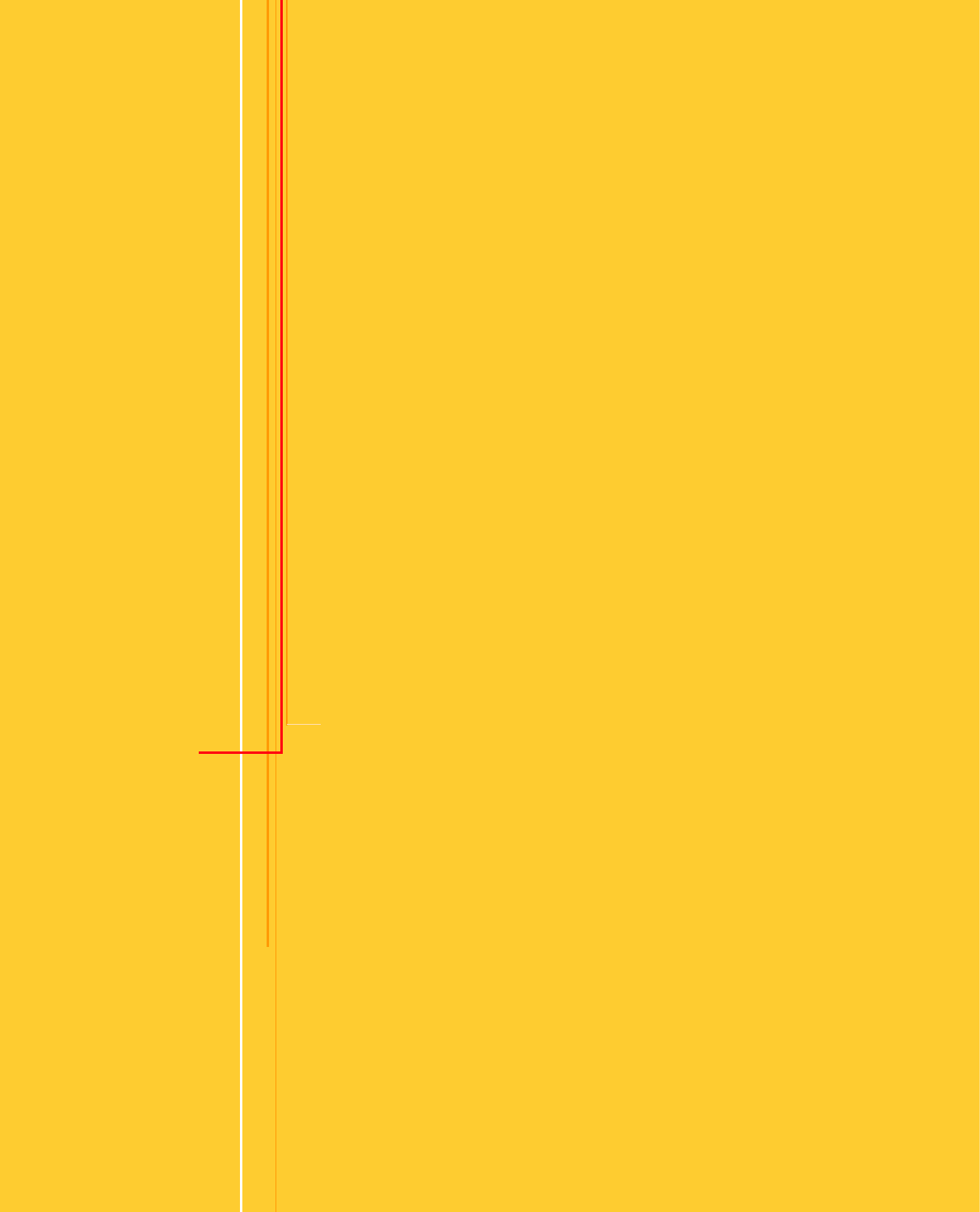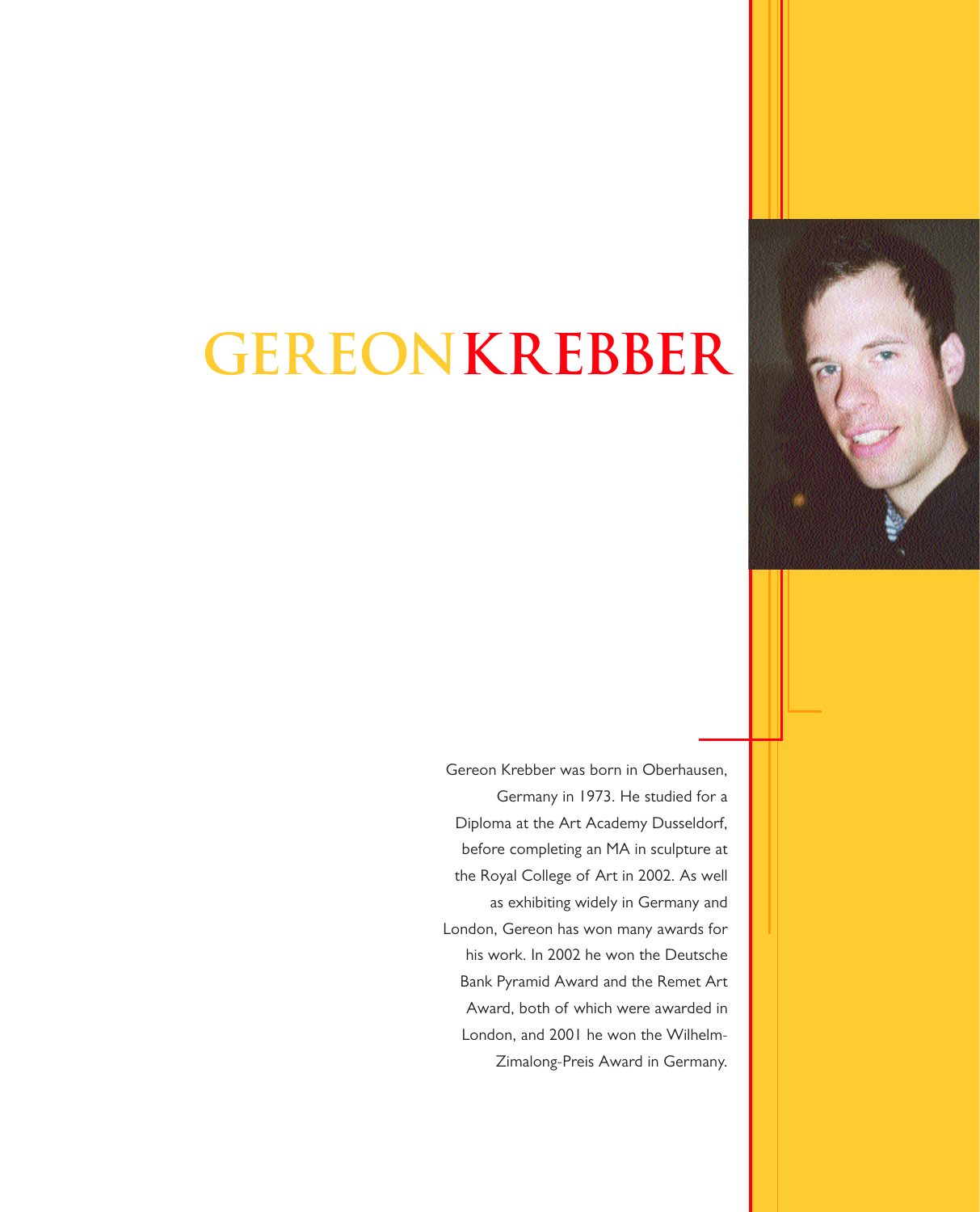# **gereonkrebber**



Gereon Krebber was born in Oberhausen, Germany in 1973. He studied for a Diploma at the Art Academy Dusseldorf, before completing an MA in sculpture at the Royal College of Art in 2002. As well as exhibiting widely in Germany and London, Gereon has won many awards for his work. In 2002 he won the Deutsche Bank Pyramid Award and the Remet Art Award, both of which were awarded in London, and 2001 he won the Wilhelm-Zimalong-Preis Award in Germany.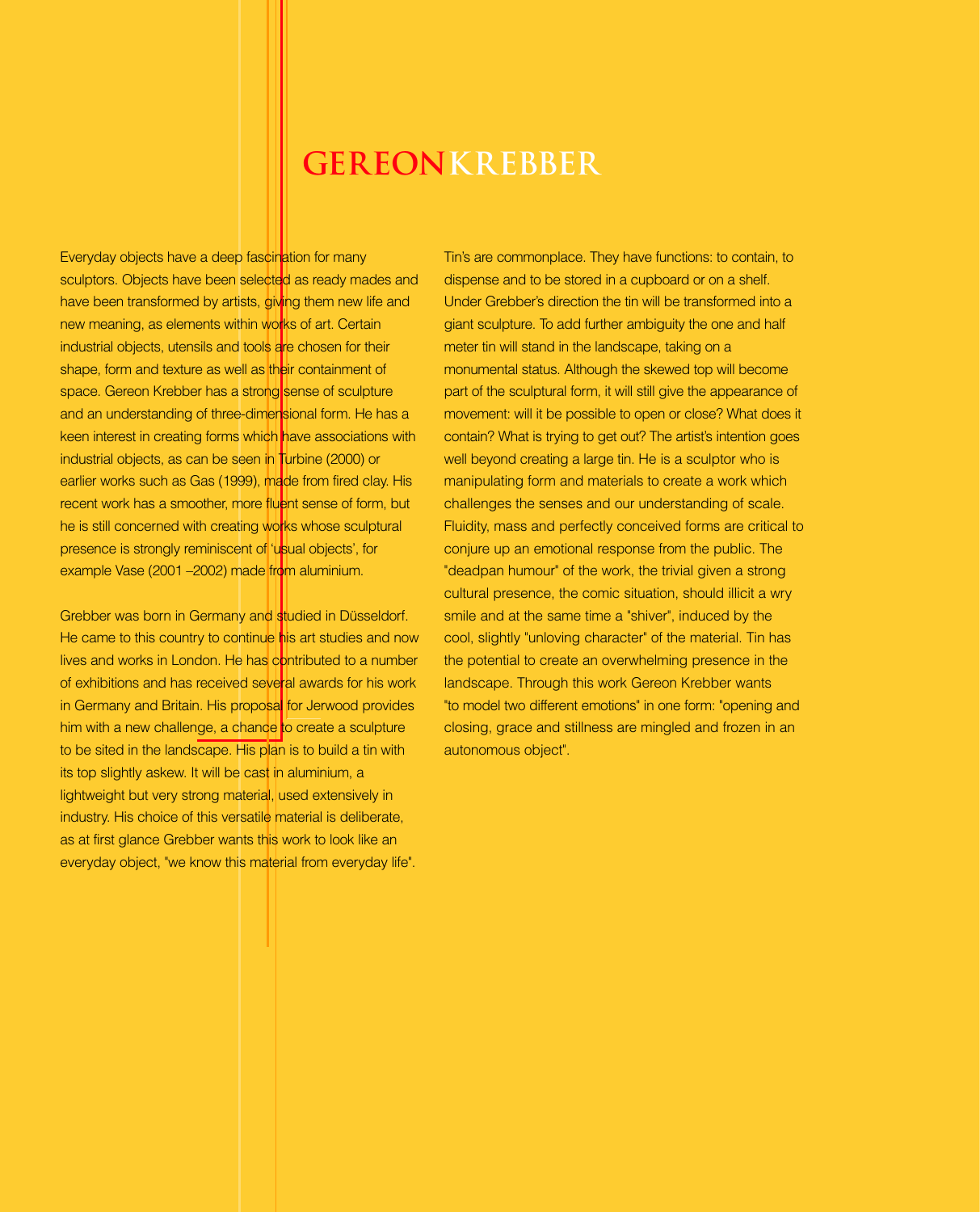### **GEREONKREBBER**

Everyday objects have a deep fascination for many sculptors. Objects have been selected as ready mades and have been transformed by artists, giving them new life and new meaning, as elements within works of art. Certain industrial objects, utensils and tools are chosen for their shape, form and texture as well as their containment of space. Gereon Krebber has a strong sense of sculpture and an understanding of three-dimensional form. He has a keen interest in creating forms which have associations with industrial objects, as can be seen in Turbine (2000) or earlier works such as Gas (1999), made from fired clay. His recent work has a smoother, more fluent sense of form, but he is still concerned with creating works whose sculptural presence is strongly reminiscent of 'usual objects', for example Vase (2001 –2002) made from aluminium.

Grebber was born in Germany and studied in Düsseldorf. He came to this country to continue his art studies and now lives and works in London. He has contributed to a number of exhibitions and has received several awards for his work in Germany and Britain. His proposal for Jerwood provides him with a new challenge, a chance to create a sculpture to be sited in the landscape. His plan is to build a tin with its top slightly askew. It will be cast in aluminium, a lightweight but very strong material, used extensively in industry. His choice of this versatile material is deliberate, as at first glance Grebber wants this work to look like an everyday object, "we know this material from everyday life".

Tin's are commonplace. They have functions: to contain, to dispense and to be stored in a cupboard or on a shelf. Under Grebber's direction the tin will be transformed into a giant sculpture. To add further ambiguity the one and half meter tin will stand in the landscape, taking on a monumental status. Although the skewed top will become part of the sculptural form, it will still give the appearance of movement: will it be possible to open or close? What does it contain? What is trying to get out? The artist's intention goes well beyond creating a large tin. He is a sculptor who is manipulating form and materials to create a work which challenges the senses and our understanding of scale. Fluidity, mass and perfectly conceived forms are critical to conjure up an emotional response from the public. The "deadpan humour" of the work, the trivial given a strong cultural presence, the comic situation, should illicit a wry smile and at the same time a "shiver", induced by the cool, slightly "unloving character" of the material. Tin has the potential to create an overwhelming presence in the landscape. Through this work Gereon Krebber wants "to model two different emotions" in one form: "opening and closing, grace and stillness are mingled and frozen in an autonomous object".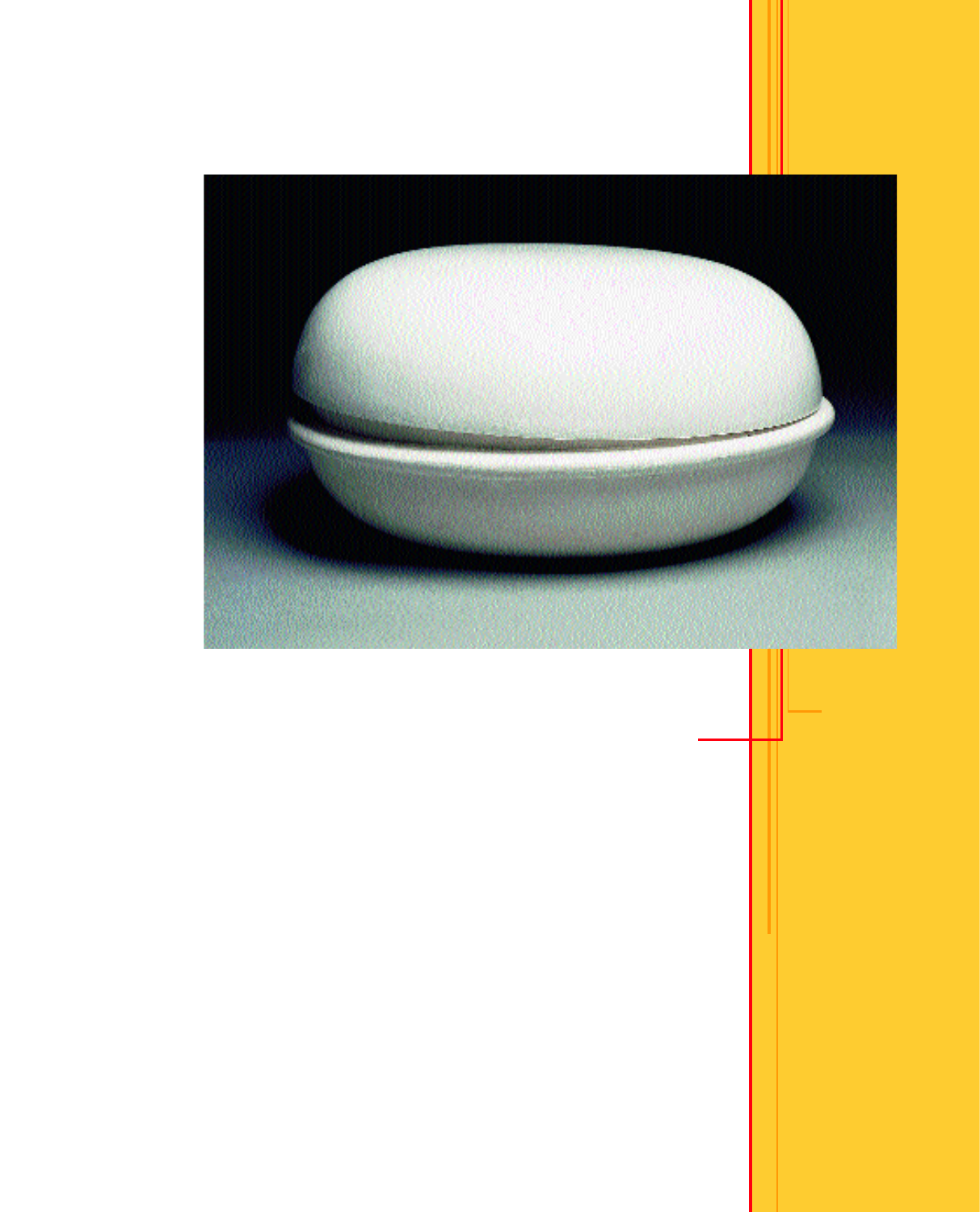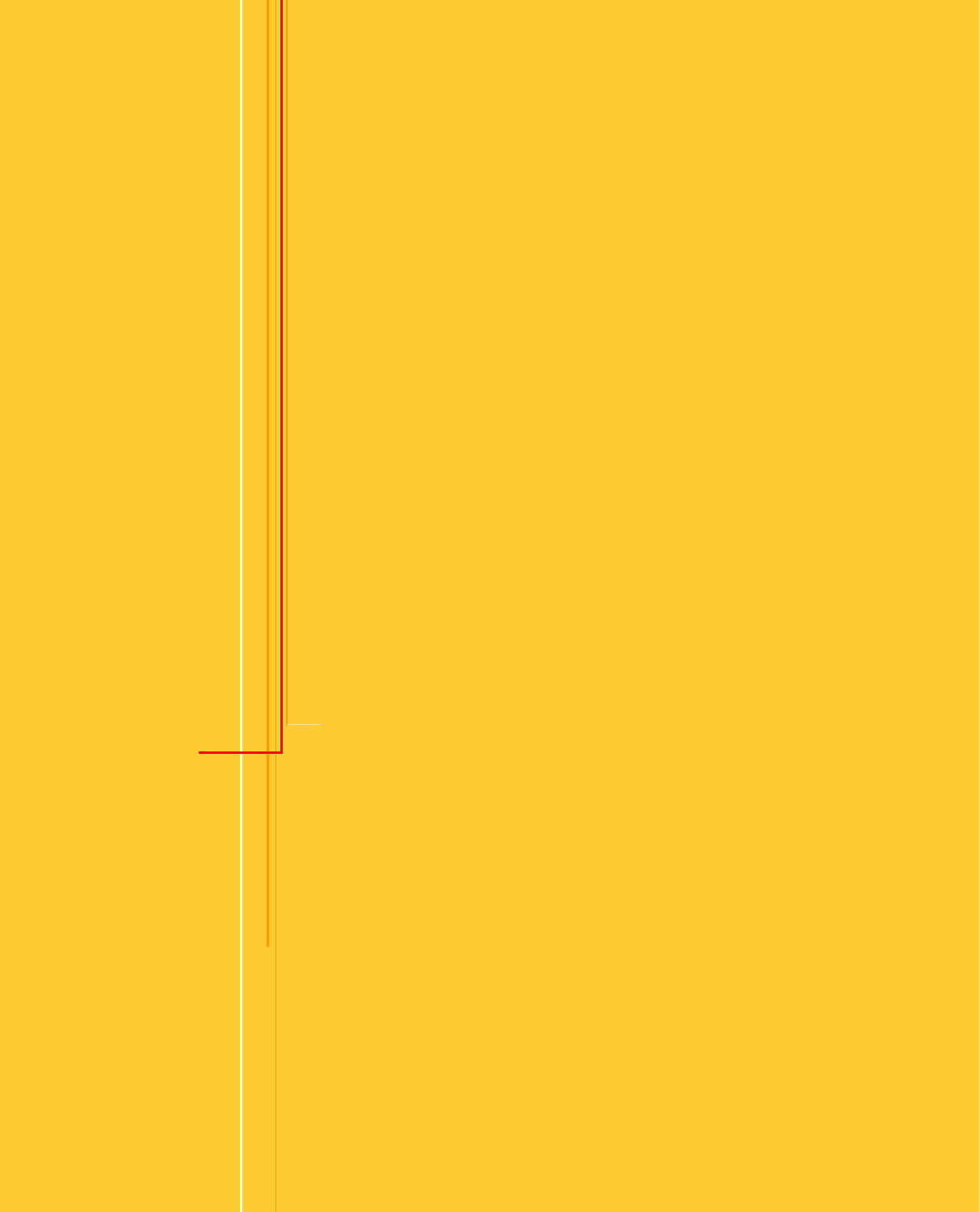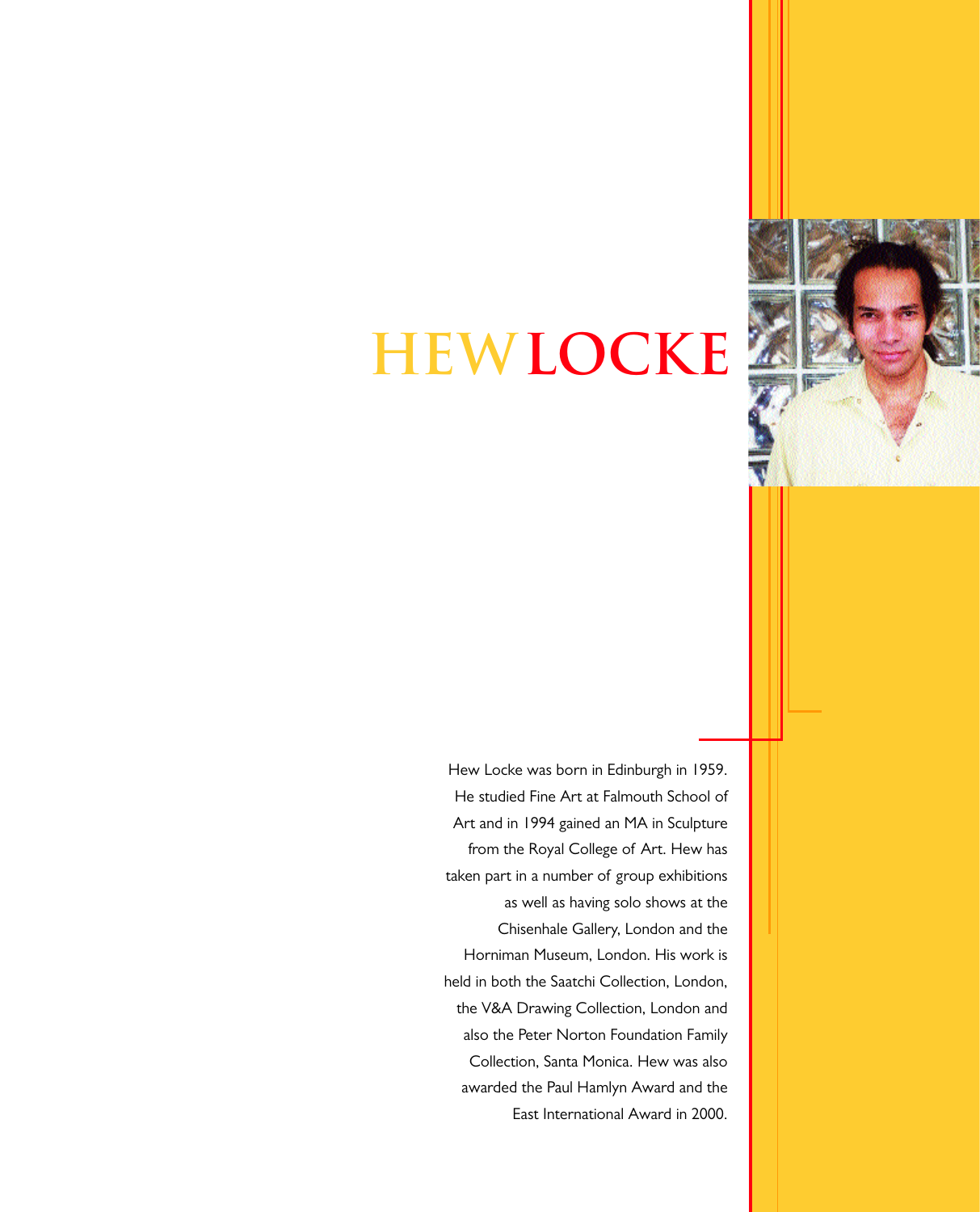# **HewLocke**



Hew Locke was born in Edinburgh in 1959. He studied Fine Art at Falmouth School of Art and in 1994 gained an MA in Sculpture from the Royal College of Art. Hew has taken part in a number of group exhibitions as well as having solo shows at the Chisenhale Gallery, London and the Horniman Museum, London. His work is held in both the Saatchi Collection, London, the V&A Drawing Collection, London and also the Peter Norton Foundation Family Collection, Santa Monica. Hew was also awarded the Paul Hamlyn Award and the East International Award in 2000.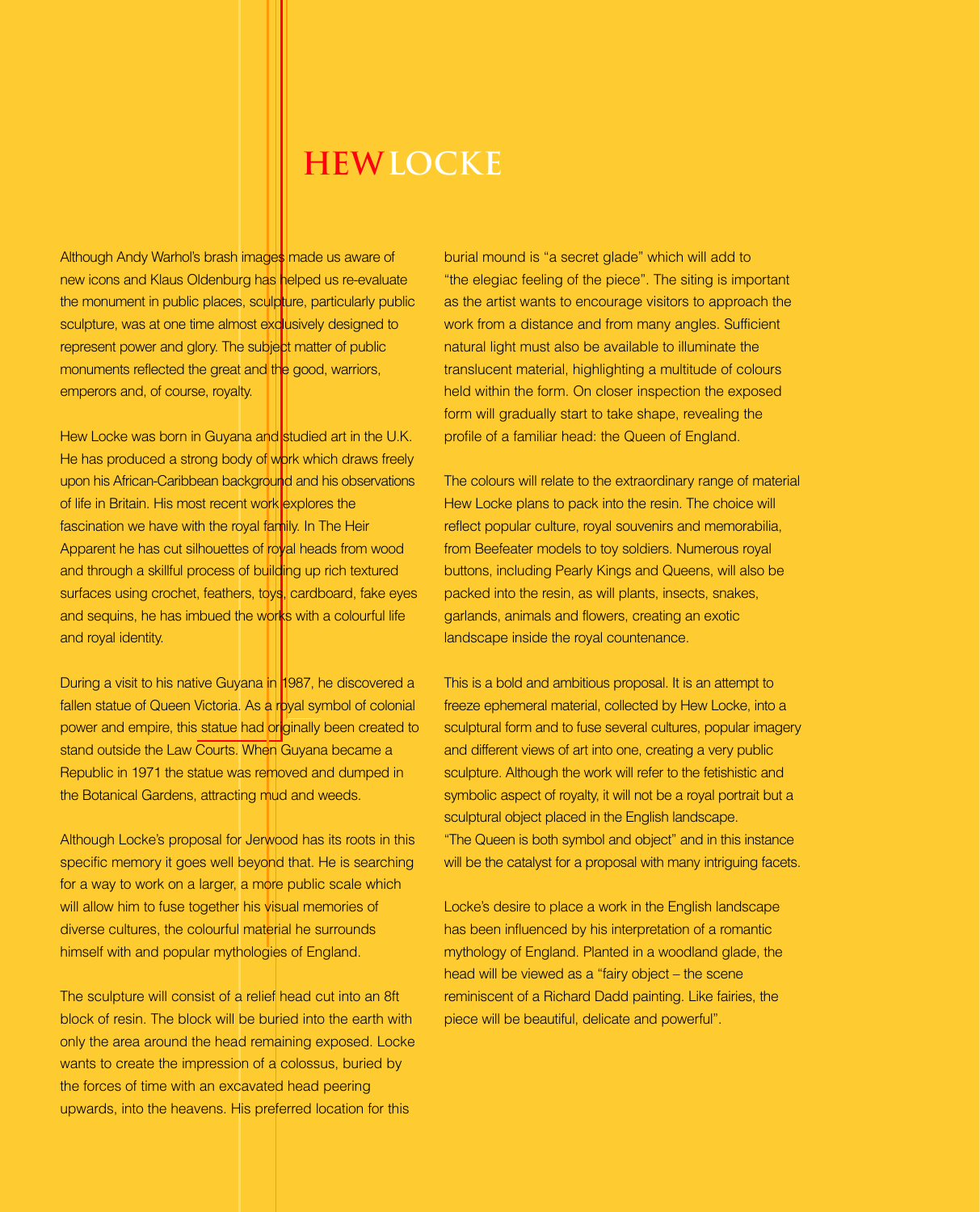### **Hewlocke**

Although Andy Warhol's brash images made us aware of new icons and Klaus Oldenburg has helped us re-evaluate the monument in public places, sculpture, particularly public sculpture, was at one time almost exclusively designed to represent power and glory. The subject matter of public monuments reflected the great and the good, warriors, emperors and, of course, royalty.

Hew Locke was born in Guyana and studied art in the U.K. He has produced a strong body of work which draws freely upon his African-Caribbean background and his observations of life in Britain. His most recent work explores the fascination we have with the royal family. In The Heir Apparent he has cut silhouettes of royal heads from wood and through a skillful process of building up rich textured surfaces using crochet, feathers, toys, cardboard, fake eyes and sequins, he has imbued the works with a colourful life and royal identity.

During a visit to his native Guyana in 1987, he discovered a fallen statue of Queen Victoria. As a royal symbol of colonial power and empire, this statue had originally been created to stand outside the Law Courts. When Guyana became a Republic in 1971 the statue was removed and dumped in the Botanical Gardens, attracting mud and weeds.

Although Locke's proposal for Jerwood has its roots in this specific memory it goes well beyond that. He is searching for a way to work on a larger, a more public scale which will allow him to fuse together his visual memories of diverse cultures, the colourful material he surrounds himself with and popular mythologies of England.

The sculpture will consist of a relief head cut into an 8ft block of resin. The block will be buried into the earth with only the area around the head remaining exposed. Locke wants to create the impression of a colossus, buried by the forces of time with an excavated head peering upwards, into the heavens. His preferred location for this

burial mound is "a secret glade" which will add to "the elegiac feeling of the piece". The siting is important as the artist wants to encourage visitors to approach the work from a distance and from many angles. Sufficient natural light must also be available to illuminate the translucent material, highlighting a multitude of colours held within the form. On closer inspection the exposed form will gradually start to take shape, revealing the profile of a familiar head: the Queen of England.

The colours will relate to the extraordinary range of material Hew Locke plans to pack into the resin. The choice will reflect popular culture, royal souvenirs and memorabilia, from Beefeater models to toy soldiers. Numerous royal buttons, including Pearly Kings and Queens, will also be packed into the resin, as will plants, insects, snakes, garlands, animals and flowers, creating an exotic landscape inside the royal countenance.

This is a bold and ambitious proposal. It is an attempt to freeze ephemeral material, collected by Hew Locke, into a sculptural form and to fuse several cultures, popular imagery and different views of art into one, creating a very public sculpture. Although the work will refer to the fetishistic and symbolic aspect of royalty, it will not be a royal portrait but a sculptural object placed in the English landscape. "The Queen is both symbol and object" and in this instance will be the catalyst for a proposal with many intriguing facets.

Locke's desire to place a work in the English landscape has been influenced by his interpretation of a romantic mythology of England. Planted in a woodland glade, the head will be viewed as a "fairy object – the scene reminiscent of a Richard Dadd painting. Like fairies, the piece will be beautiful, delicate and powerful".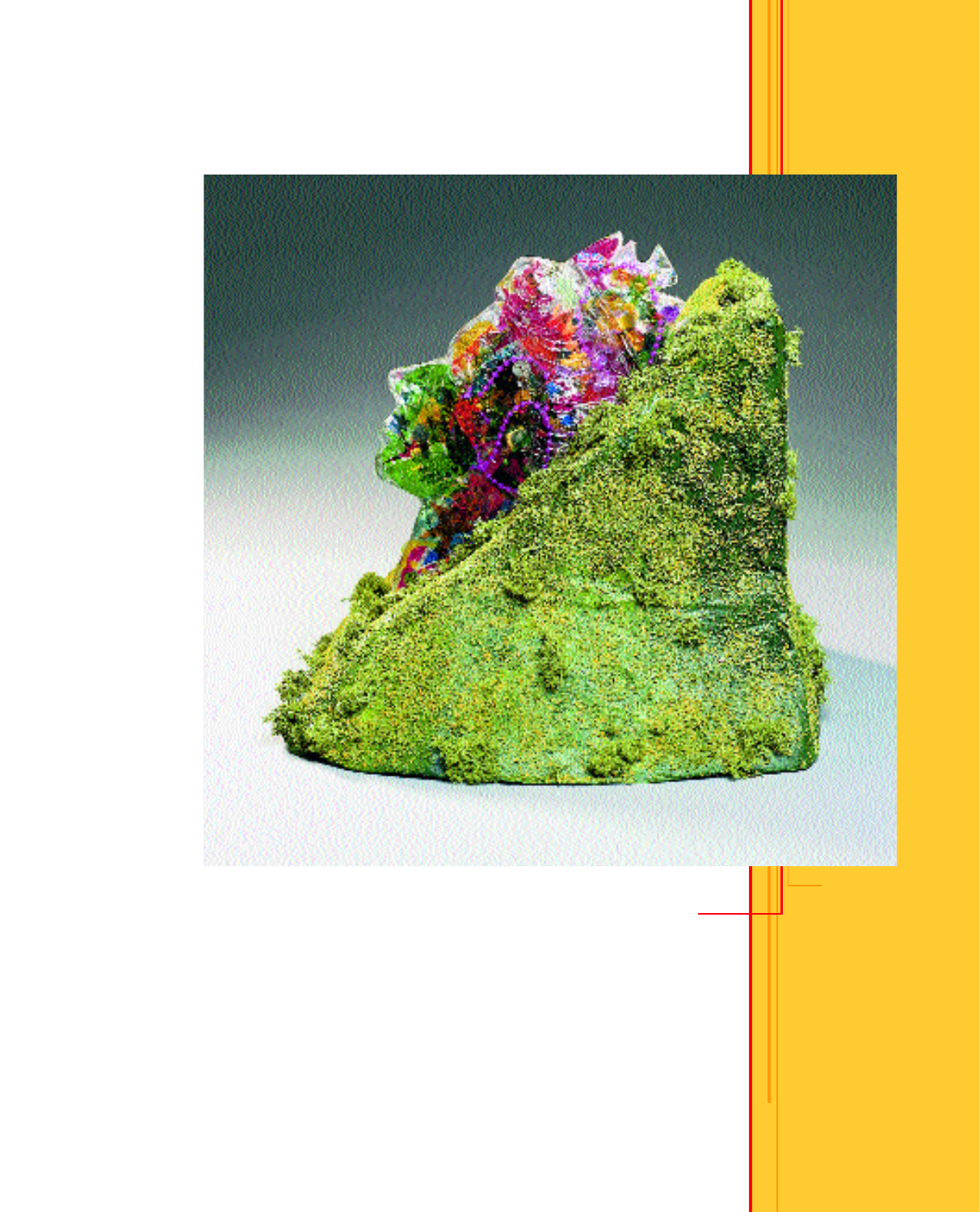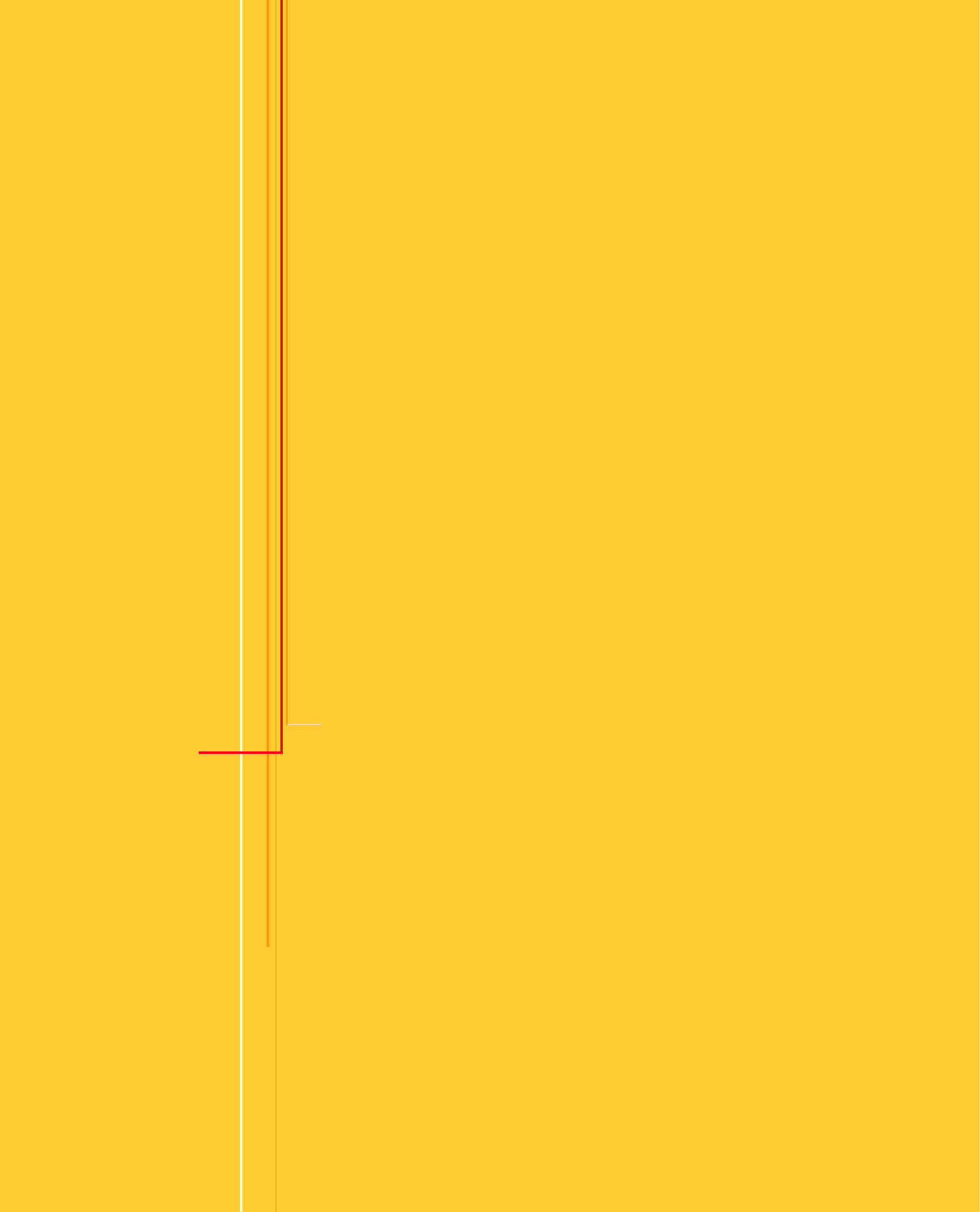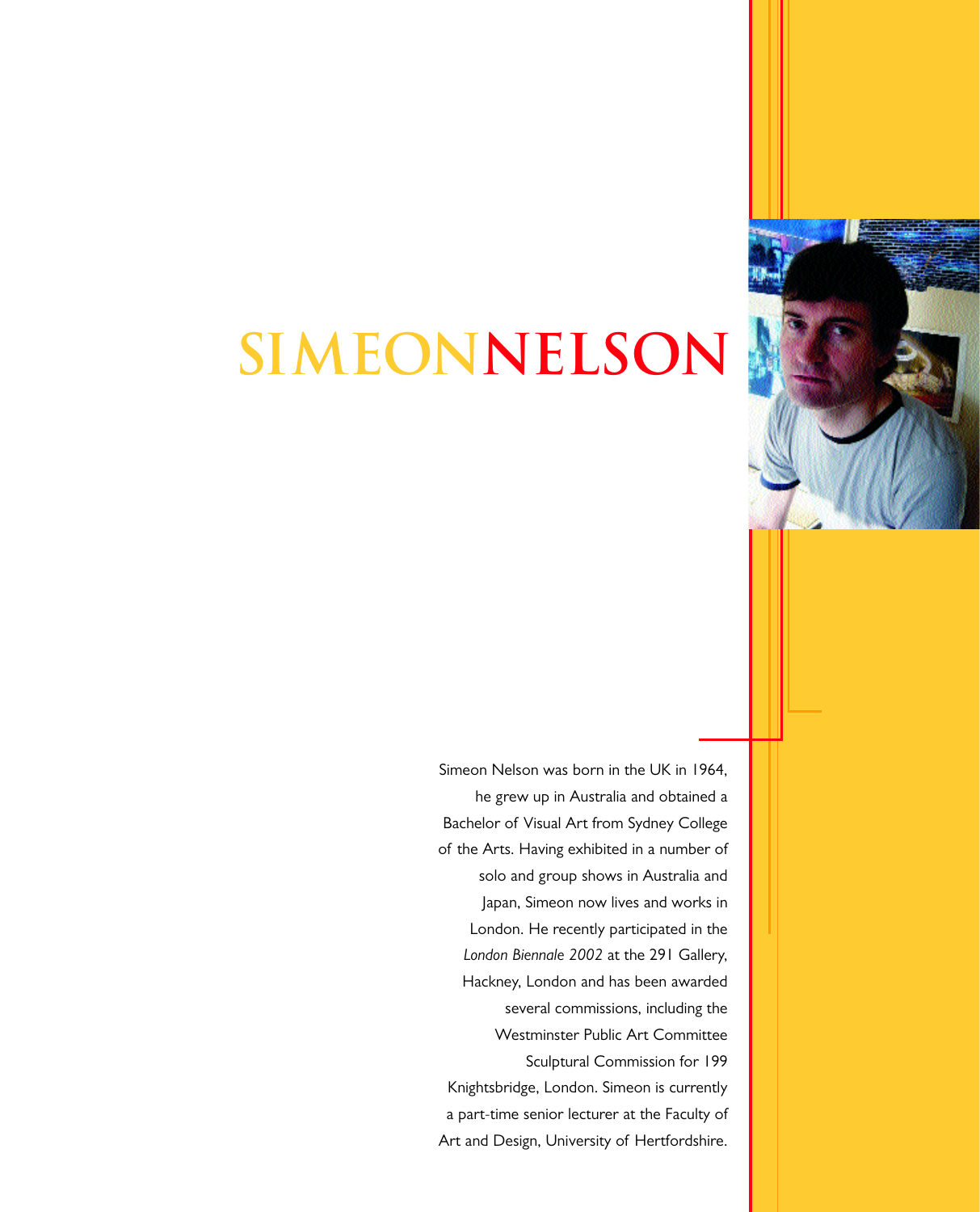# **simeonNelson**

Simeon Nelson was born in the UK in 1964, he grew up in Australia and obtained a Bachelor of Visual Art from Sydney College of the Arts. Having exhibited in a number of solo and group shows in Australia and Japan, Simeon now lives and works in London. He recently participated in the *London Biennale 2002* at the 291 Gallery, Hackney, London and has been awarded several commissions, including the Westminster Public Art Committee Sculptural Commission for 199 Knightsbridge, London. Simeon is currently a part-time senior lecturer at the Faculty of Art and Design, University of Hertfordshire.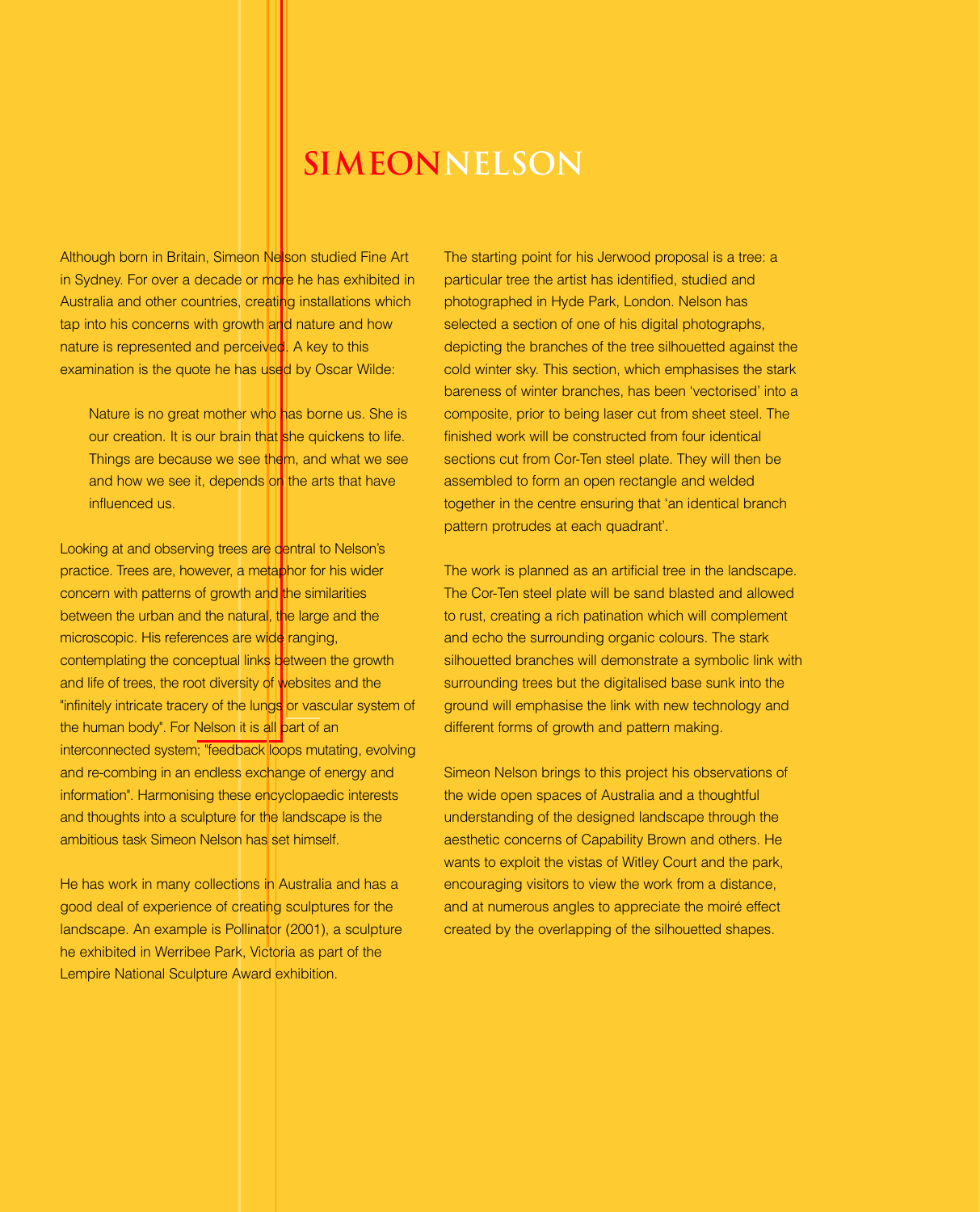### **Simeonnelson**

Although born in Britain, Simeon Nelson studied Fine Art in Sydney. For over a decade or more he has exhibited in Australia and other countries, creating installations which tap into his concerns with growth and nature and how nature is represented and perceived. A key to this examination is the quote he has used by Oscar Wilde:

Nature is no great mother who has borne us. She is our creation. It is our brain that she quickens to life. Things are because we see them, and what we see and how we see it, depends on the arts that have influenced us.

Looking at and observing trees are dentral to Nelson's practice. Trees are, however, a metaphor for his wider concern with patterns of growth and the similarities between the urban and the natural, the large and the microscopic. His references are wide ranging, contemplating the conceptual links between the growth and life of trees, the root diversity of websites and the "infinitely intricate tracery of the lungs or vascular system of the human body". For Nelson it is all part of an interconnected system; "feedback loops mutating, evolving and re-combing in an endless exchange of energy and information". Harmonising these encyclopaedic interests and thoughts into a sculpture for the landscape is the ambitious task Simeon Nelson has set himself.

He has work in many collections in Australia and has a good deal of experience of creating sculptures for the landscape. An example is Pollinator (2001), a sculpture he exhibited in Werribee Park, Victoria as part of the Lempire National Sculpture Award exhibition.

The starting point for his Jerwood proposal is a tree: a particular tree the artist has identified, studied and photographed in Hyde Park, London. Nelson has selected a section of one of his digital photographs, depicting the branches of the tree silhouetted against the cold winter sky. This section, which emphasises the stark bareness of winter branches, has been 'vectorised' into a composite, prior to being laser cut from sheet steel. The finished work will be constructed from four identical sections cut from Cor-Ten steel plate. They will then be assembled to form an open rectangle and welded together in the centre ensuring that 'an identical branch pattern protrudes at each quadrant'.

The work is planned as an artificial tree in the landscape. The Cor-Ten steel plate will be sand blasted and allowed to rust, creating a rich patination which will complement and echo the surrounding organic colours. The stark silhouetted branches will demonstrate a symbolic link with surrounding trees but the digitalised base sunk into the ground will emphasise the link with new technology and different forms of growth and pattern making.

Simeon Nelson brings to this project his observations of the wide open spaces of Australia and a thoughtful understanding of the designed landscape through the aesthetic concerns of Capability Brown and others. He wants to exploit the vistas of Witley Court and the park, encouraging visitors to view the work from a distance, and at numerous angles to appreciate the moiré effect created by the overlapping of the silhouetted shapes.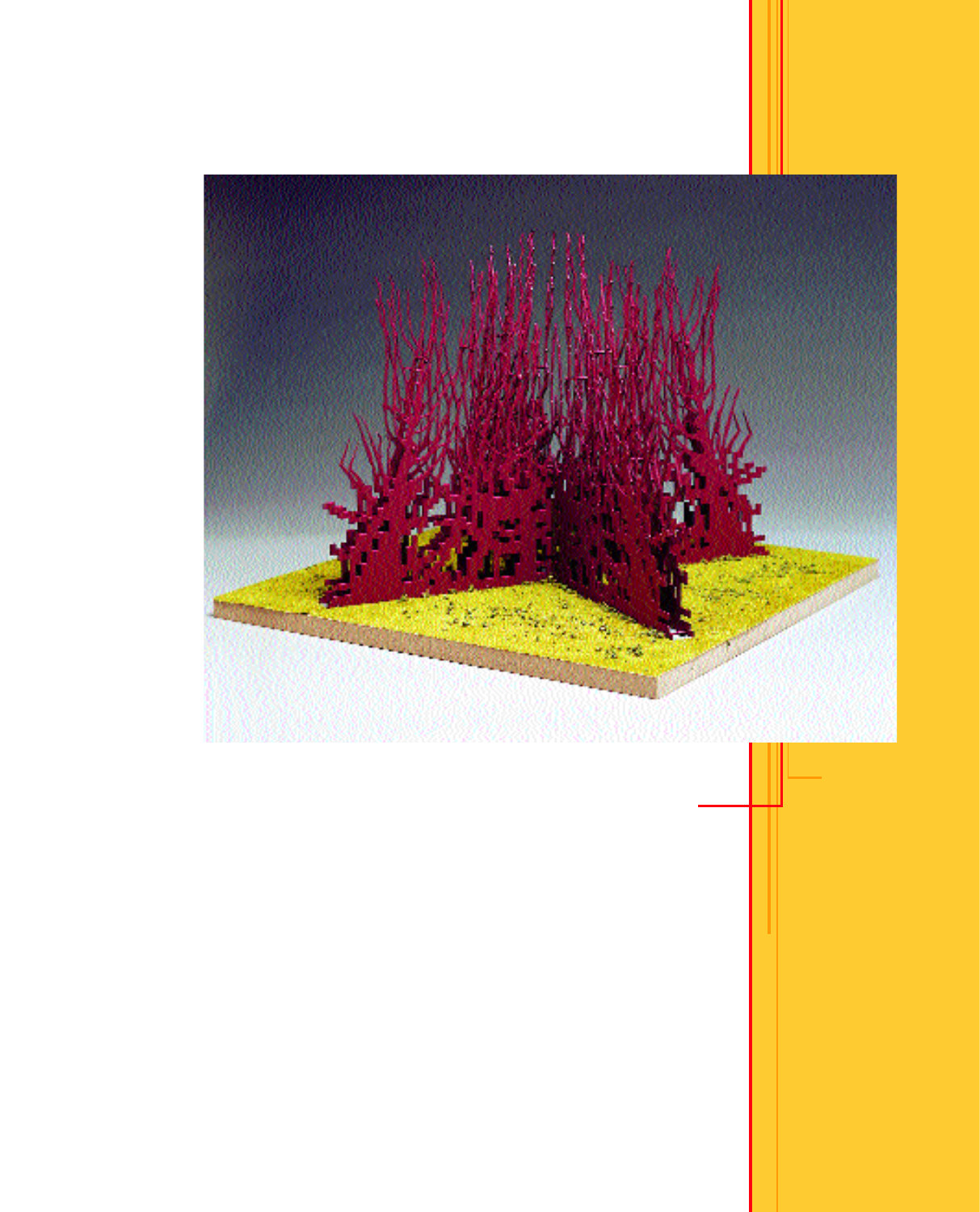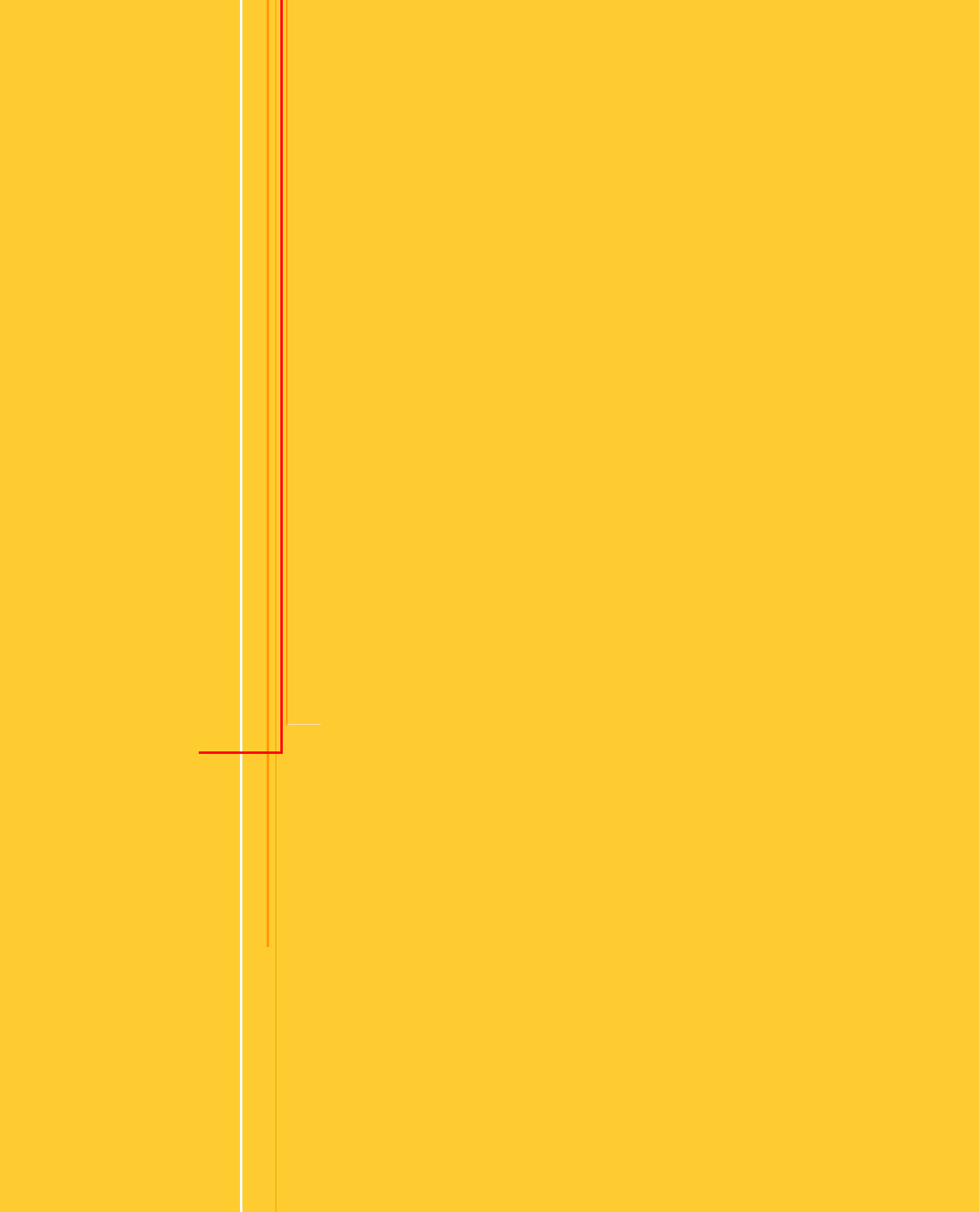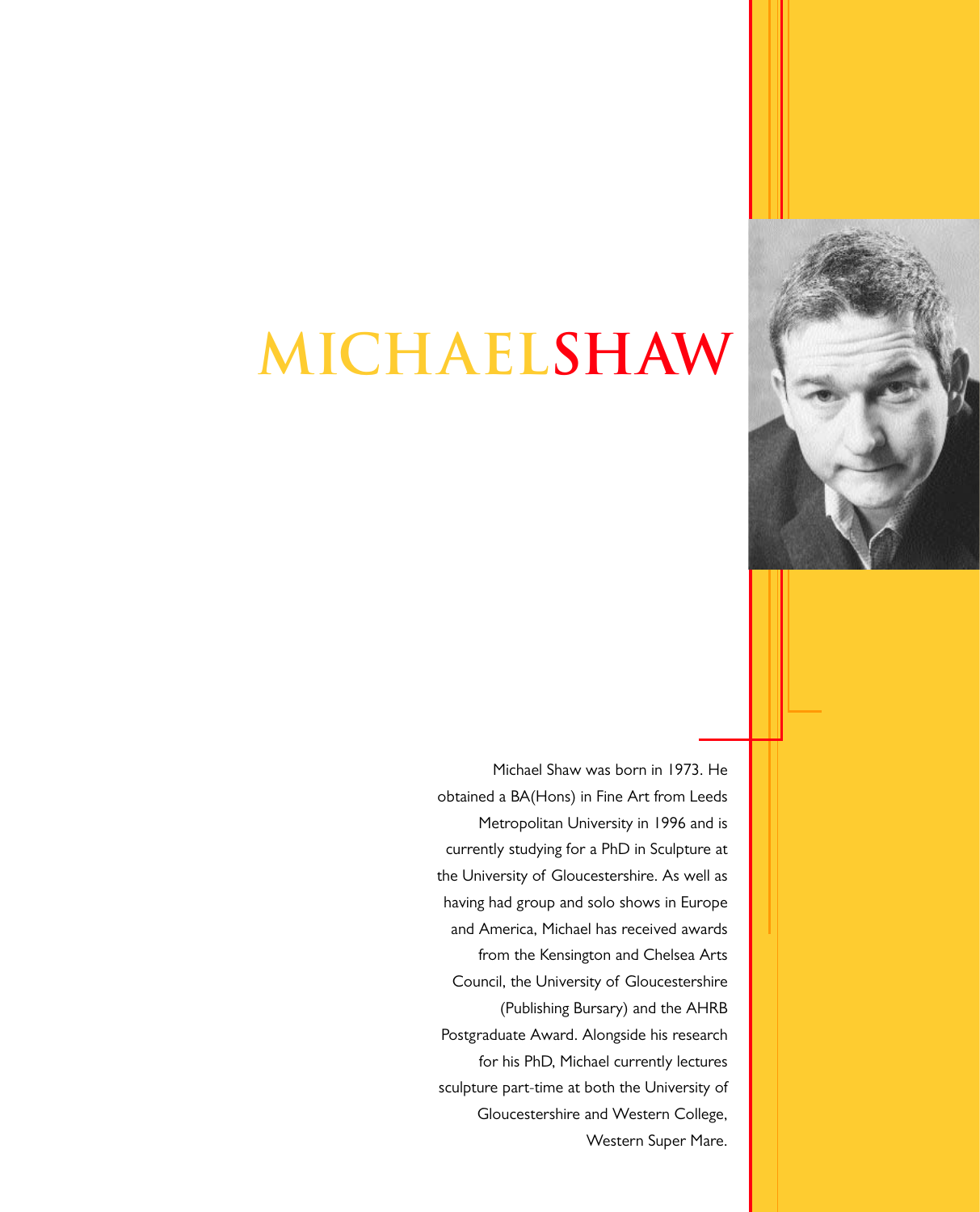# **MichaelShaw**



Michael Shaw was born in 1973. He obtained a BA(Hons) in Fine Art from Leeds Metropolitan University in 1996 and is currently studying for a PhD in Sculpture at the University of Gloucestershire. As well as having had group and solo shows in Europe and America, Michael has received awards from the Kensington and Chelsea Arts Council, the University of Gloucestershire (Publishing Bursary) and the AHRB Postgraduate Award. Alongside his research for his PhD, Michael currently lectures sculpture part-time at both the University of Gloucestershire and Western College, Western Super Mare.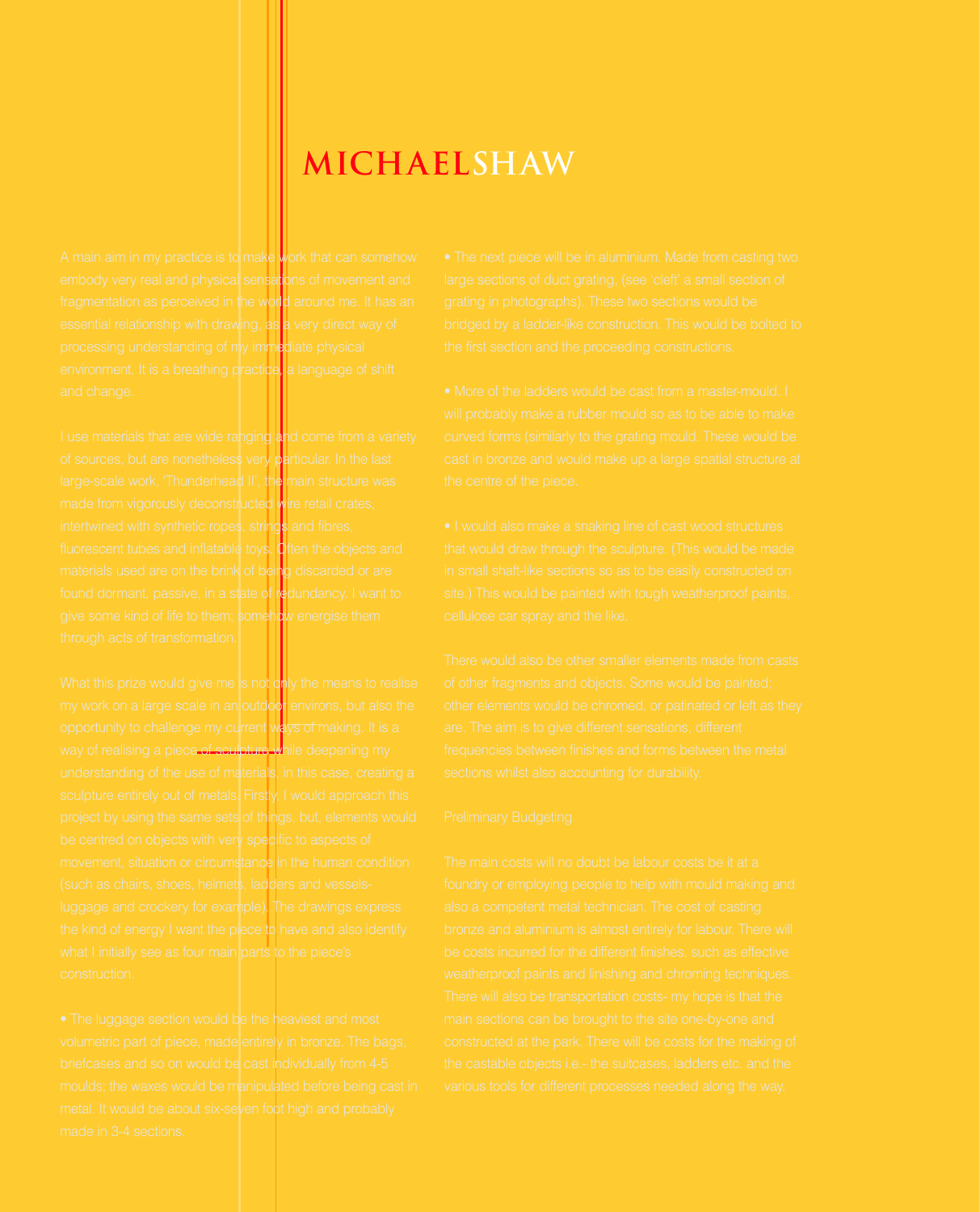### **MichaelSHAW**

A main aim in my practice is to make work that can somehow embody very real and physical sensations of movement and fragmentation as perceived in the world around me. It has an essential relationship with drawing, as a very direct way of processing understanding of my immediate physical environment. It is a breathing practice, a language of shift

I use materials that are wide ranging and come from a variety of sources, but are nonetheless very particular. In the last large-scale work, 'Thunderhead II', the main structure was made from vigorously deconstructed wire retail crates, intertwined with synthetic ropes, strings and fibres, fluorescent tubes and inflatable toys. Often the objects and materials used are on the brink of being discarded or are found dormant, passive, in a state of redundancy. I want to give some kind of life to them; somehow energise them

What this prize would give me is not only the means to realise my work on a large scale in an outdoor environs, but also the opportunity to challenge my current ways of making. It is a way of realising a piece of sculpture while deepening my understanding of the use of materials, in this case, creating a sculpture entirely out of metals. Firstly, I would approach this project by using the same sets of things, but, elements would be centred on objects with very specific to aspects of movement, situation or circumstance in the human condition (such as chairs, shoes, helmets, ladders and vesselsluggage and crockery for example). The drawings express the kind of energy I want the piece to have and also identify what I initially see as four main parts to the piece's

• The luggage section would be the heaviest and most volumetric part of piece, made entirely in bronze. The bags, briefcases and so on would be cast individually from 4-5 moulds; the waxes would be manipulated before being cast in metal. It would be about six-seven foot high and probably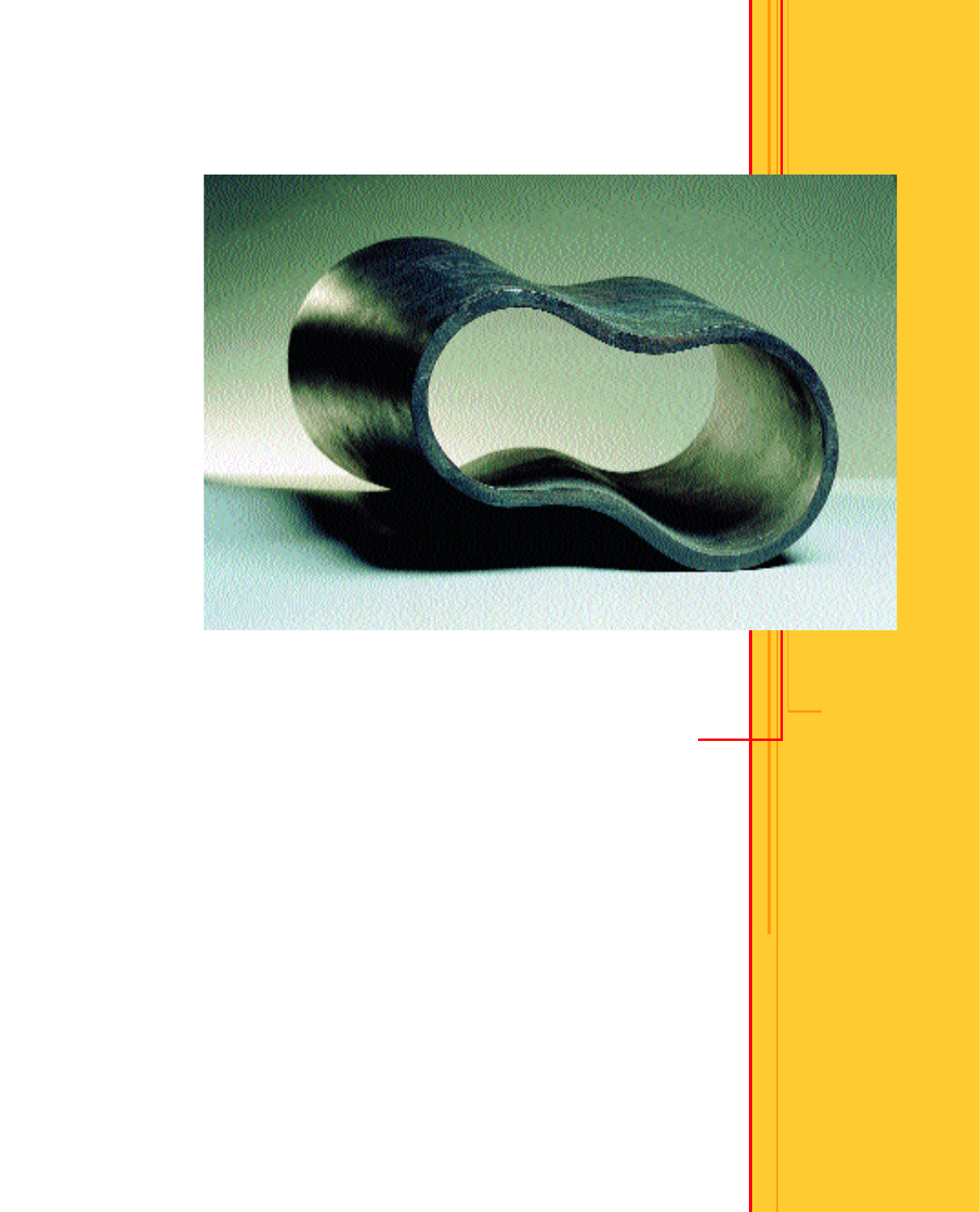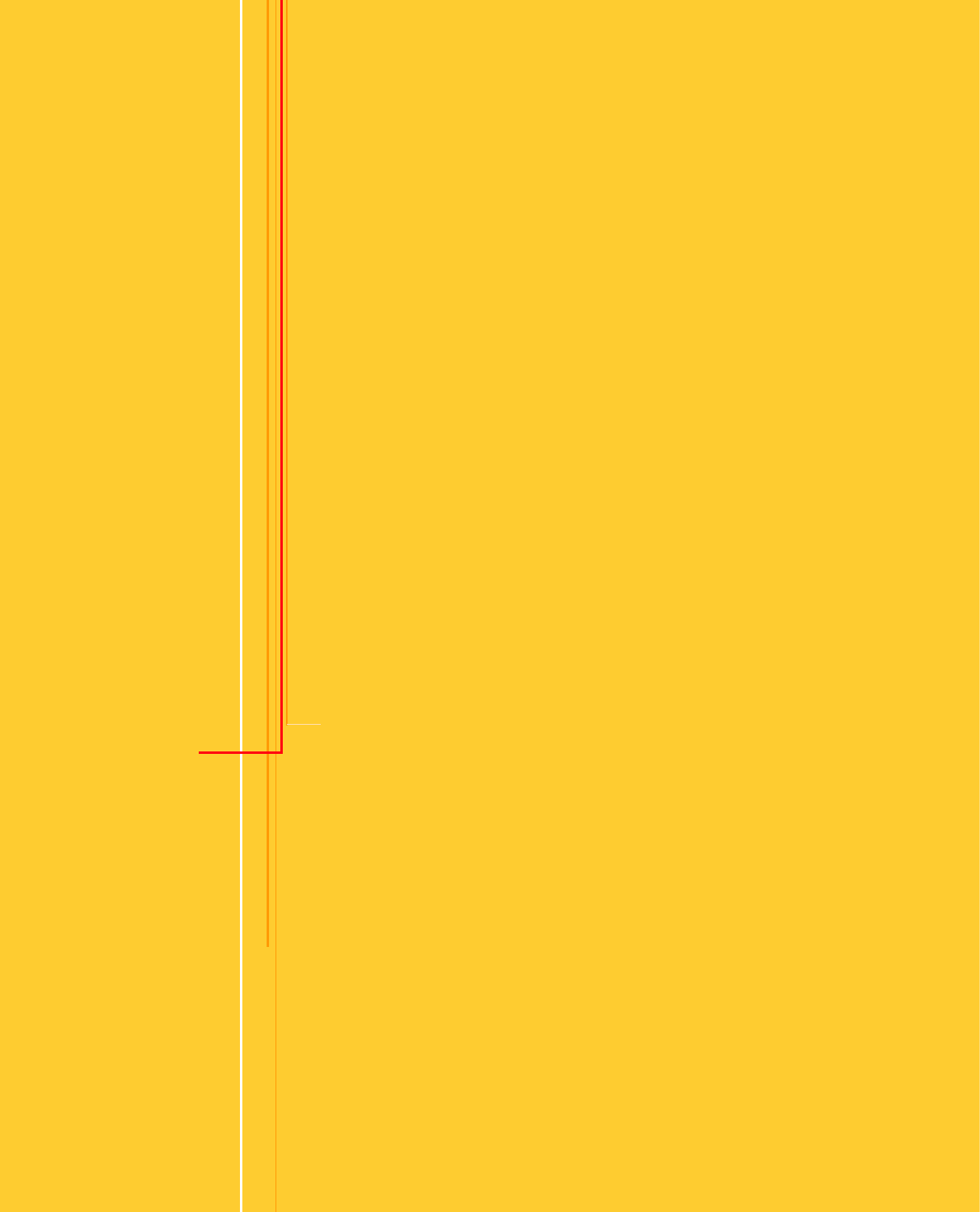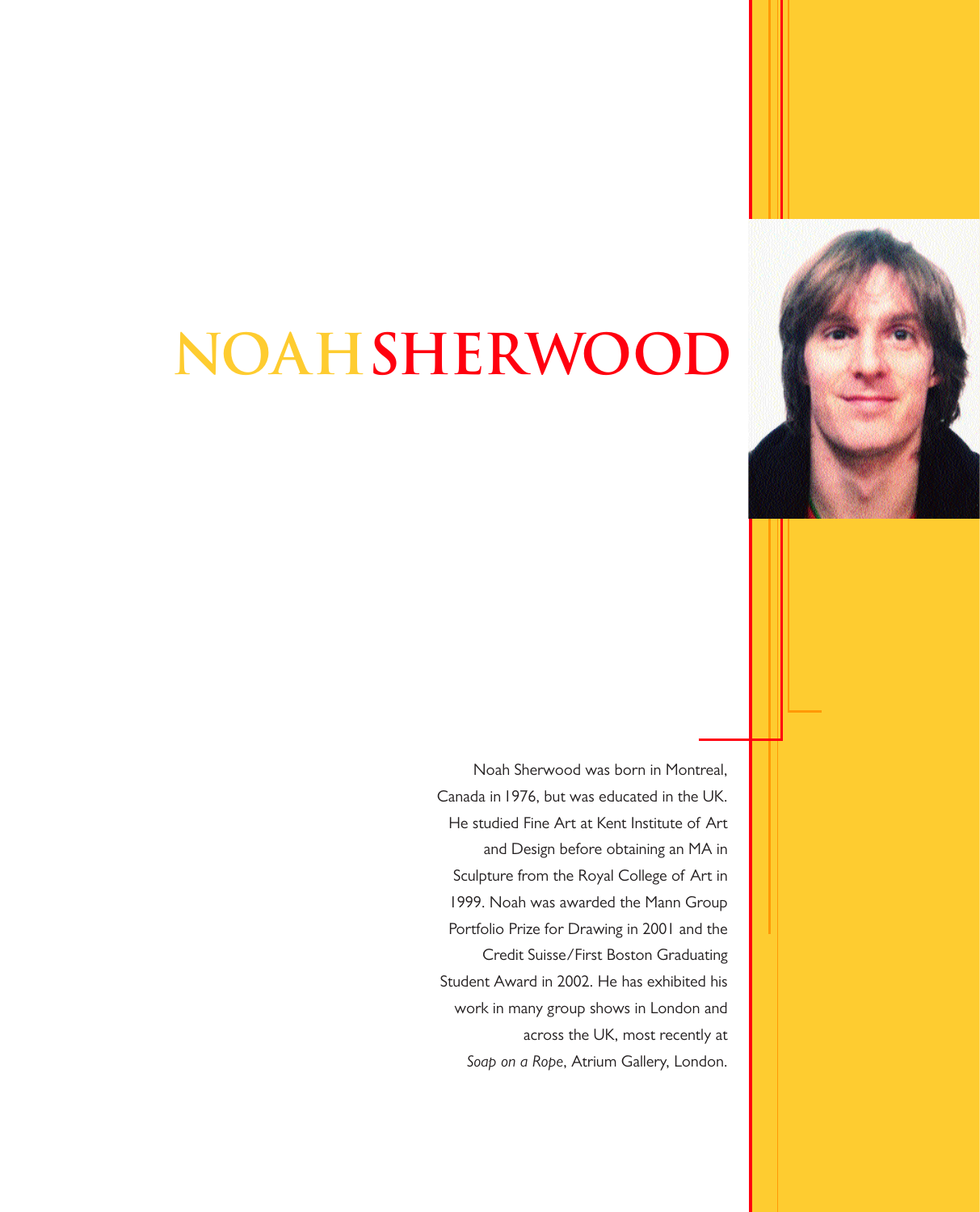# **NOAHSherwood**



Noah Sherwood was born in Montreal, Canada in 1976, but was educated in the UK. He studied Fine Art at Kent Institute of Art and Design before obtaining an MA in Sculpture from the Royal College of Art in 1999. Noah was awarded the Mann Group Portfolio Prize for Drawing in 2001 and the Credit Suisse/First Boston Graduating Student Award in 2002. He has exhibited his work in many group shows in London and across the UK, most recently at *Soap on a Rope*, Atrium Gallery, London.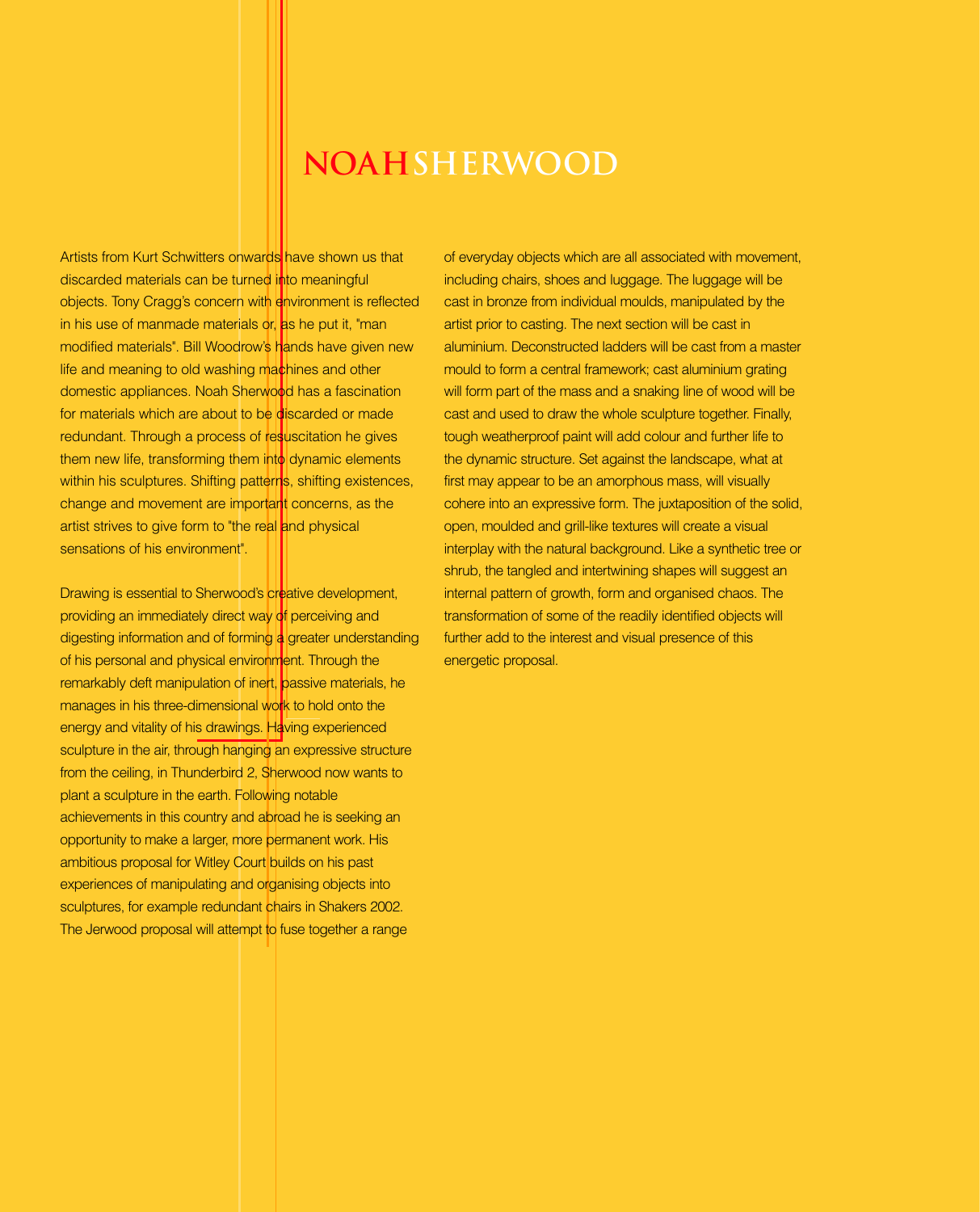### **Noahsherwood**

Artists from Kurt Schwitters onwards have shown us that discarded materials can be turned into meaningful objects. Tony Cragg's concern with environment is reflected in his use of manmade materials or, as he put it, "man modified materials". Bill Woodrow's hands have given new life and meaning to old washing machines and other domestic appliances. Noah Sherwood has a fascination for materials which are about to be discarded or made redundant. Through a process of resuscitation he gives them new life, transforming them into dynamic elements within his sculptures. Shifting patterns, shifting existences, change and movement are important concerns, as the artist strives to give form to "the real and physical sensations of his environment".

Drawing is essential to Sherwood's creative development, providing an immediately direct way of perceiving and digesting information and of forming a greater understanding of his personal and physical environment. Through the remarkably deft manipulation of inert, passive materials, he manages in his three-dimensional work to hold onto the energy and vitality of his drawings. Having experienced sculpture in the air, through hanging an expressive structure from the ceiling, in Thunderbird 2, Sherwood now wants to plant a sculpture in the earth. Following notable achievements in this country and abroad he is seeking an opportunity to make a larger, more permanent work. His ambitious proposal for Witley Court builds on his past experiences of manipulating and organising objects into sculptures, for example redundant chairs in Shakers 2002. The Jerwood proposal will attempt to fuse together a range

of everyday objects which are all associated with movement, including chairs, shoes and luggage. The luggage will be cast in bronze from individual moulds, manipulated by the artist prior to casting. The next section will be cast in aluminium. Deconstructed ladders will be cast from a master mould to form a central framework; cast aluminium grating will form part of the mass and a snaking line of wood will be cast and used to draw the whole sculpture together. Finally, tough weatherproof paint will add colour and further life to the dynamic structure. Set against the landscape, what at first may appear to be an amorphous mass, will visually cohere into an expressive form. The juxtaposition of the solid, open, moulded and grill-like textures will create a visual interplay with the natural background. Like a synthetic tree or shrub, the tangled and intertwining shapes will suggest an internal pattern of growth, form and organised chaos. The transformation of some of the readily identified objects will further add to the interest and visual presence of this energetic proposal.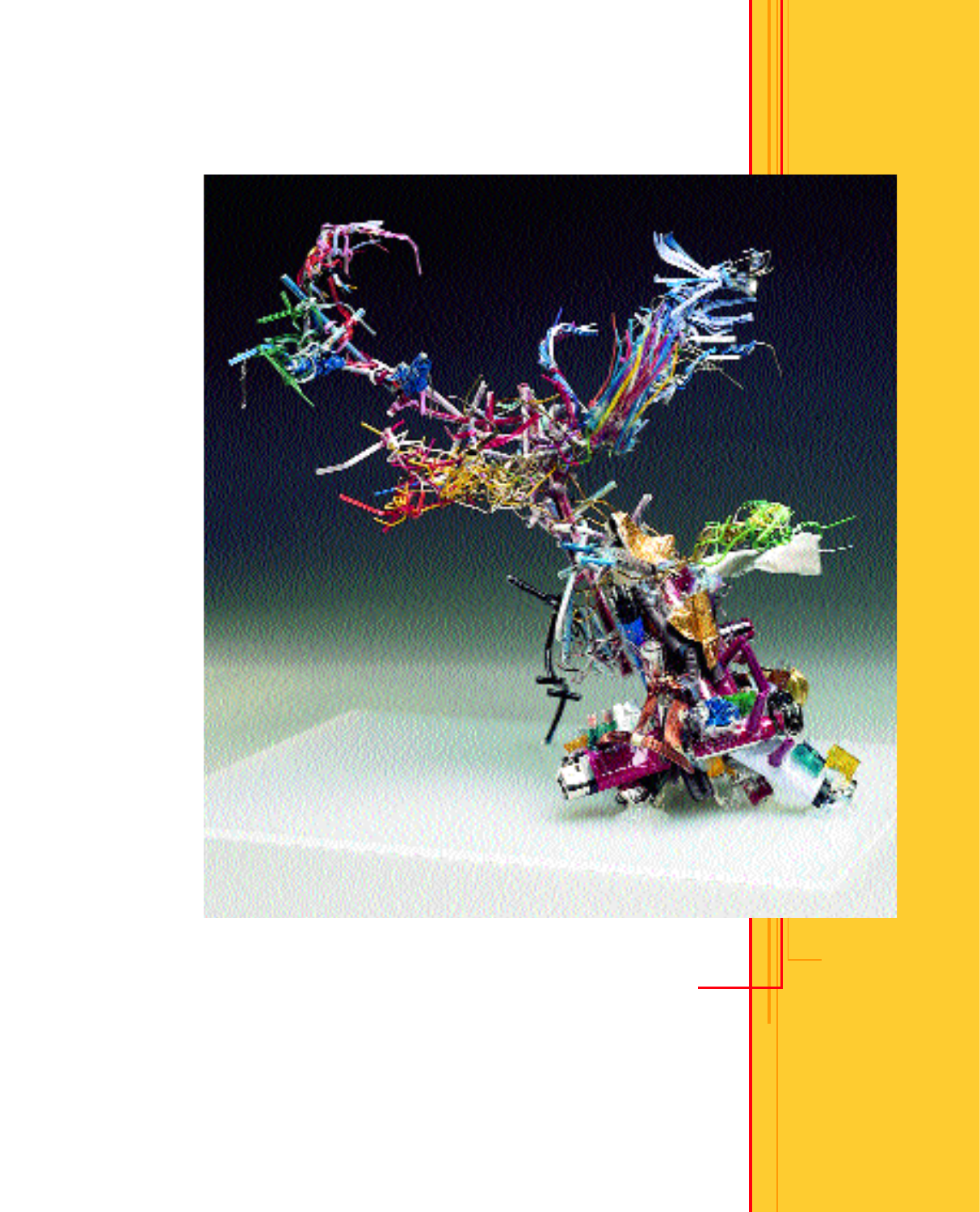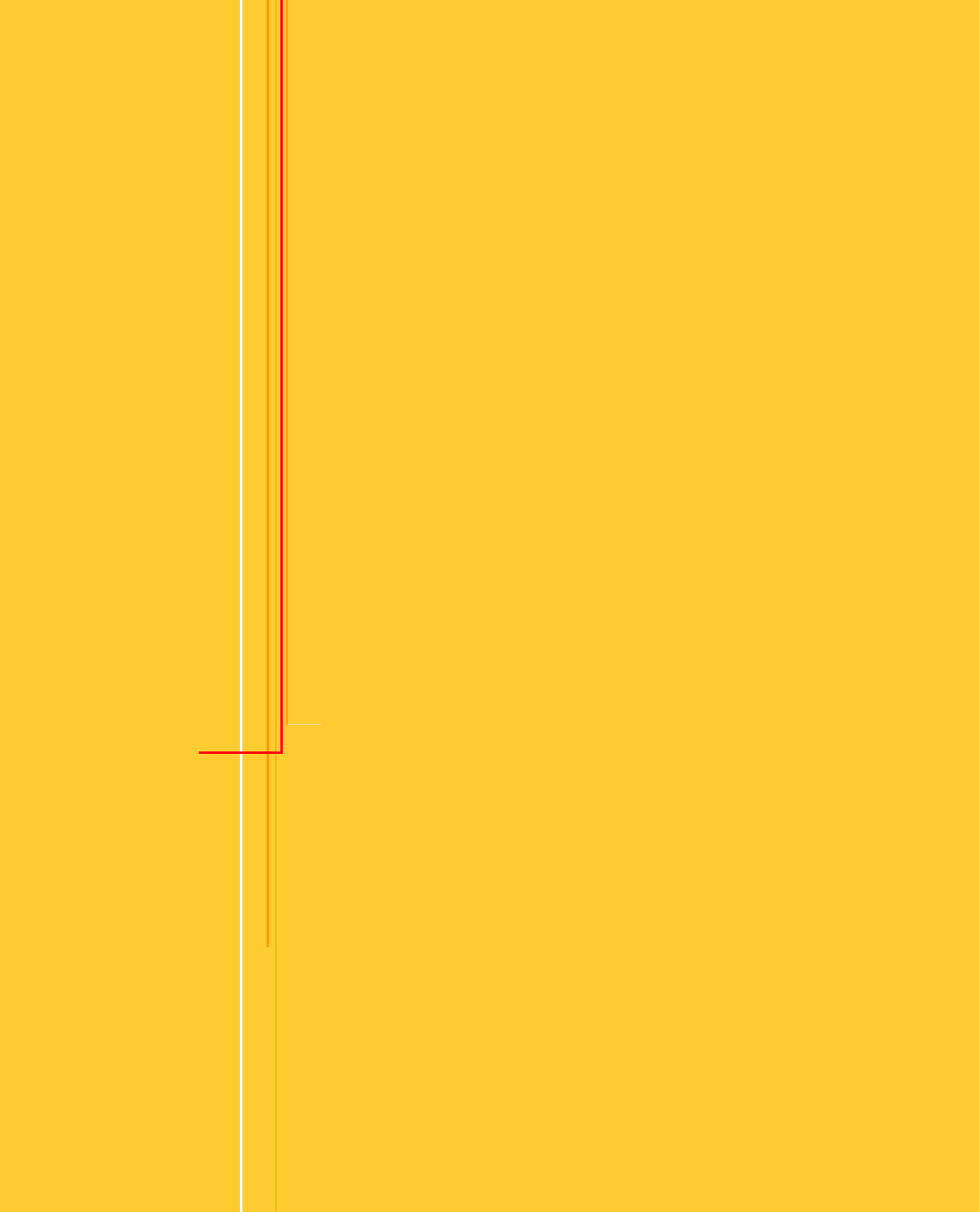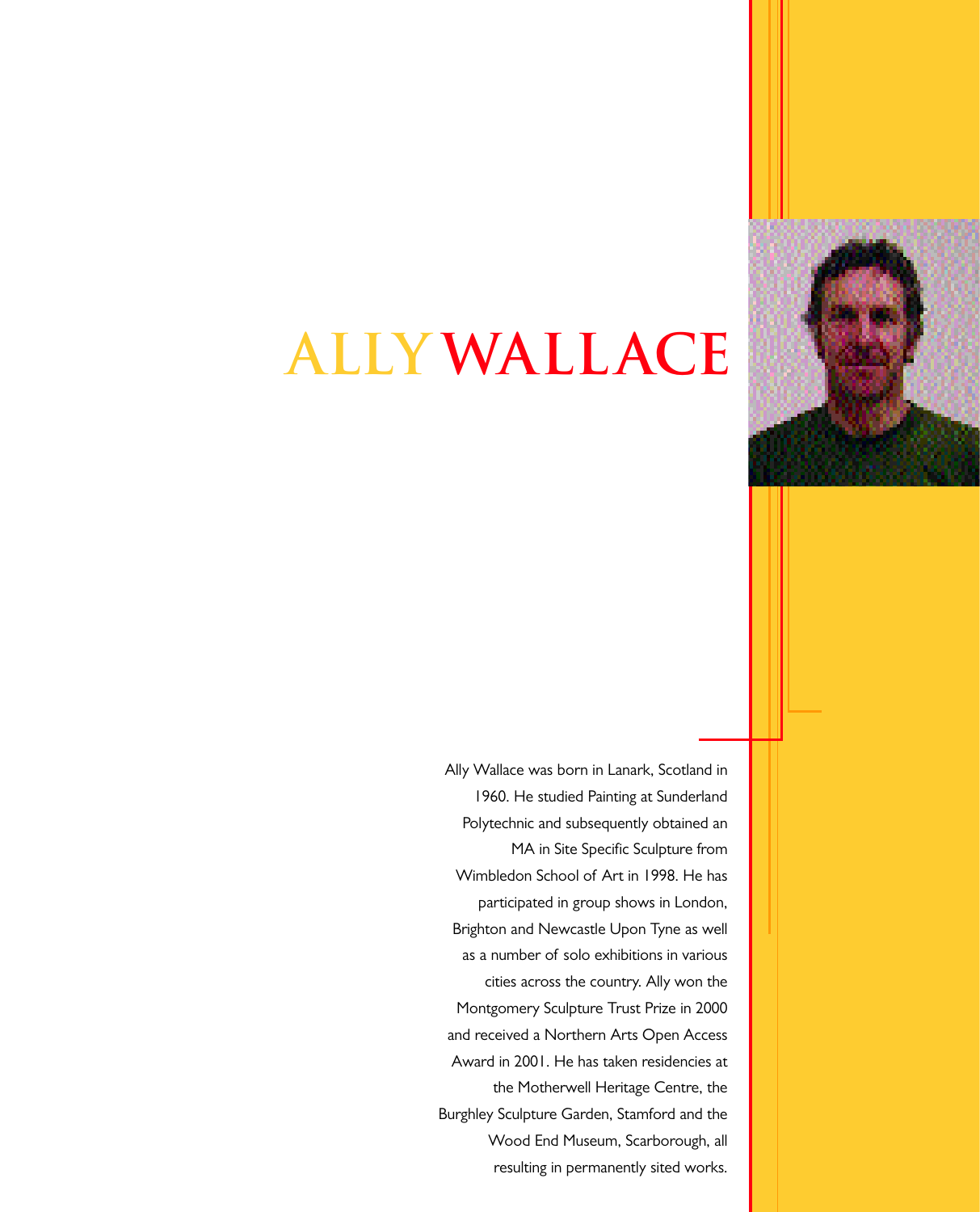# **ally wallace**



Ally Wallace was born in Lanark, Scotland in 1960. He studied Painting at Sunderland Polytechnic and subsequently obtained an MA in Site Specific Sculpture from Wimbledon School of Art in 1998. He has participated in group shows in London, Brighton and Newcastle Upon Tyne as well as a number of solo exhibitions in various cities across the country. Ally won the Montgomery Sculpture Trust Prize in 2000 and received a Northern Arts Open Access Award in 2001. He has taken residencies at the Motherwell Heritage Centre, the Burghley Sculpture Garden, Stamford and the Wood End Museum, Scarborough, all resulting in permanently sited works.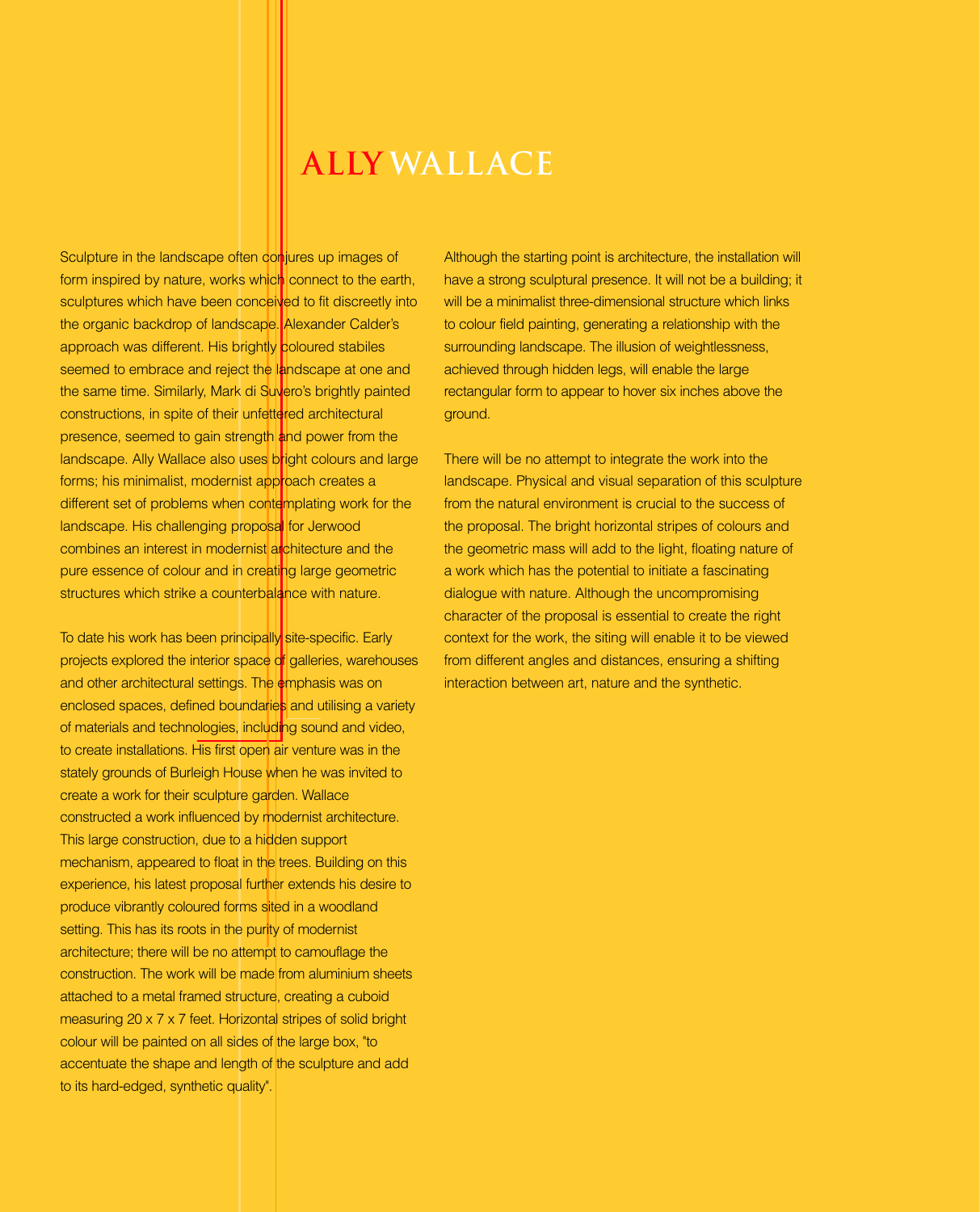### **Ally wallace**

Sculpture in the landscape often conjures up images of form inspired by nature, works which connect to the earth. sculptures which have been conceived to fit discreetly into the organic backdrop of landscape. Alexander Calder's approach was different. His brightly coloured stabiles seemed to embrace and reject the landscape at one and the same time. Similarly, Mark di Suvero's brightly painted constructions, in spite of their unfettered architectural presence, seemed to gain strength and power from the landscape. Ally Wallace also uses bright colours and large forms; his minimalist, modernist approach creates a different set of problems when contemplating work for the landscape. His challenging proposal for Jerwood combines an interest in modernist architecture and the pure essence of colour and in creating large geometric structures which strike a counterbalance with nature.

To date his work has been principally site-specific. Early projects explored the interior space of galleries, warehouses and other architectural settings. The emphasis was on enclosed spaces, defined boundaries and utilising a variety of materials and technologies, including sound and video, to create installations. His first open air venture was in the stately grounds of Burleigh House when he was invited to create a work for their sculpture garden. Wallace constructed a work influenced by modernist architecture. This large construction, due to a hidden support mechanism, appeared to float in the trees. Building on this experience, his latest proposal further extends his desire to produce vibrantly coloured forms sited in a woodland setting. This has its roots in the purity of modernist architecture; there will be no attempt to camouflage the construction. The work will be made from aluminium sheets attached to a metal framed structure, creating a cuboid measuring 20 x 7 x 7 feet. Horizontal stripes of solid bright colour will be painted on all sides of the large box, "to accentuate the shape and length of the sculpture and add to its hard-edged, synthetic quality".

Although the starting point is architecture, the installation will have a strong sculptural presence. It will not be a building; it will be a minimalist three-dimensional structure which links to colour field painting, generating a relationship with the surrounding landscape. The illusion of weightlessness achieved through hidden legs, will enable the large rectangular form to appear to hover six inches above the ground.

There will be no attempt to integrate the work into the landscape. Physical and visual separation of this sculpture from the natural environment is crucial to the success of the proposal. The bright horizontal stripes of colours and the geometric mass will add to the light, floating nature of a work which has the potential to initiate a fascinating dialogue with nature. Although the uncompromising character of the proposal is essential to create the right context for the work, the siting will enable it to be viewed from different angles and distances, ensuring a shifting interaction between art, nature and the synthetic.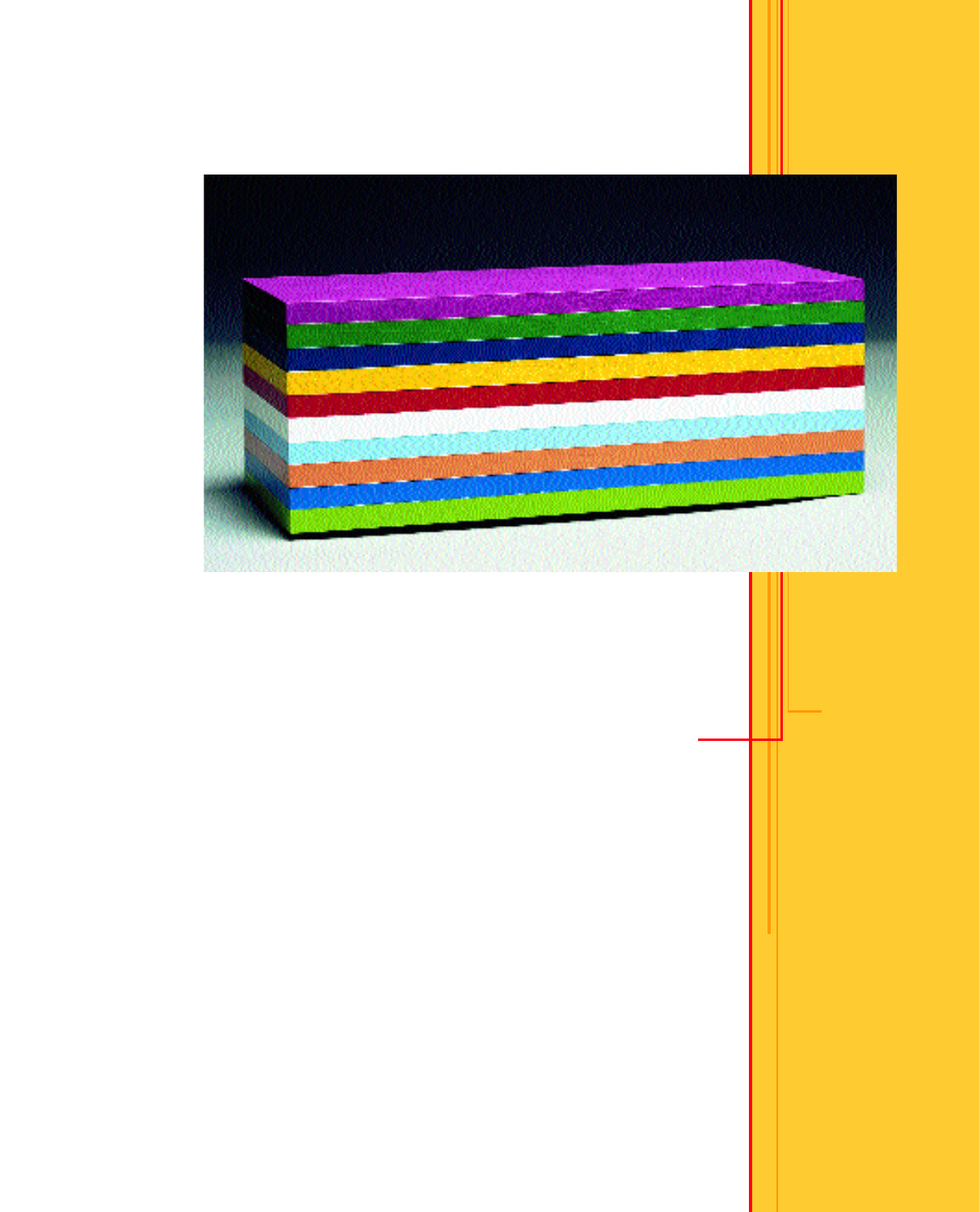